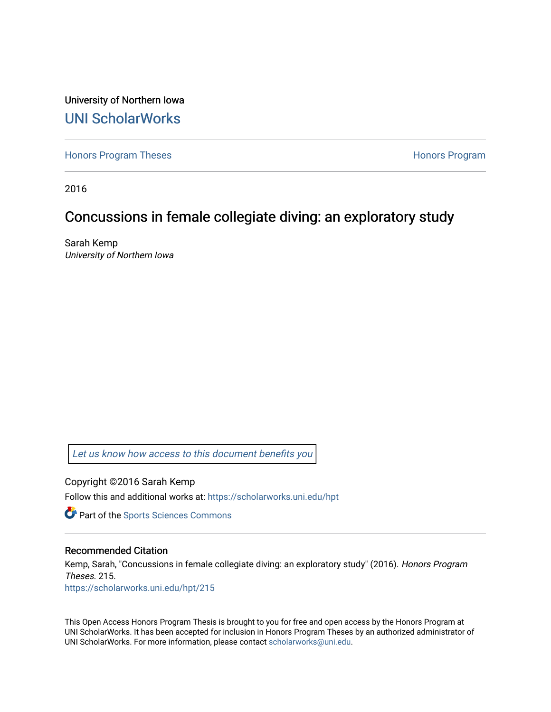University of Northern Iowa [UNI ScholarWorks](https://scholarworks.uni.edu/) 

[Honors Program Theses](https://scholarworks.uni.edu/hpt) **Honors Program** Honors Program

2016

# Concussions in female collegiate diving: an exploratory study

Sarah Kemp University of Northern Iowa

[Let us know how access to this document benefits you](https://scholarworks.uni.edu/feedback_form.html) 

Copyright ©2016 Sarah Kemp Follow this and additional works at: [https://scholarworks.uni.edu/hpt](https://scholarworks.uni.edu/hpt?utm_source=scholarworks.uni.edu%2Fhpt%2F215&utm_medium=PDF&utm_campaign=PDFCoverPages) 

**Part of the Sports Sciences Commons** 

#### Recommended Citation

Kemp, Sarah, "Concussions in female collegiate diving: an exploratory study" (2016). Honors Program Theses. 215. [https://scholarworks.uni.edu/hpt/215](https://scholarworks.uni.edu/hpt/215?utm_source=scholarworks.uni.edu%2Fhpt%2F215&utm_medium=PDF&utm_campaign=PDFCoverPages) 

This Open Access Honors Program Thesis is brought to you for free and open access by the Honors Program at UNI ScholarWorks. It has been accepted for inclusion in Honors Program Theses by an authorized administrator of UNI ScholarWorks. For more information, please contact [scholarworks@uni.edu.](mailto:scholarworks@uni.edu)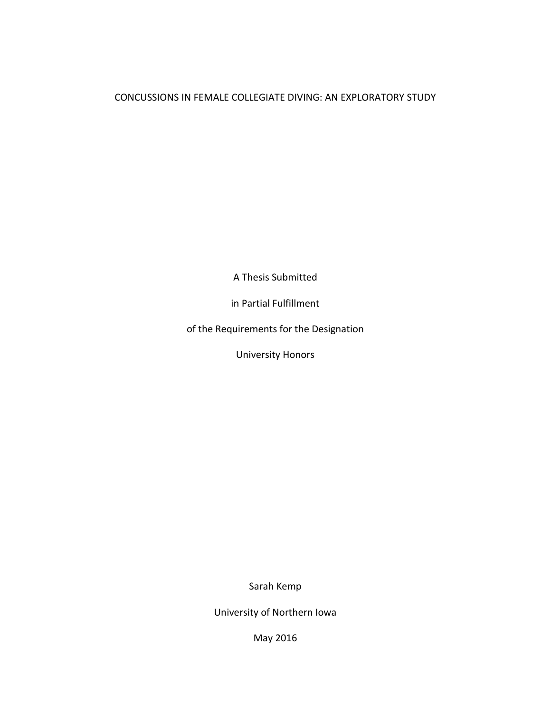# CONCUSSIONS IN FEMALE COLLEGIATE DIVING: AN EXPLORATORY STUDY

A Thesis Submitted

in Partial Fulfillment

of the Requirements for the Designation

University Honors

Sarah Kemp

University of Northern Iowa

May 2016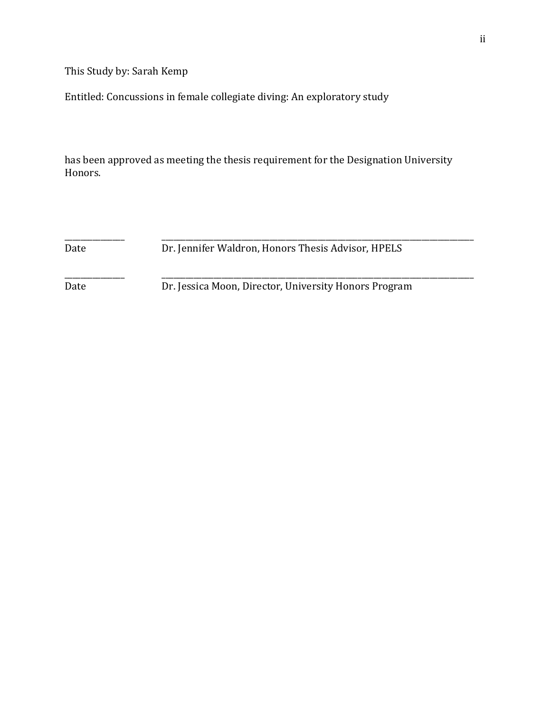This Study by: Sarah Kemp

Entitled: Concussions in female collegiate diving: An exploratory study

has been approved as meeting the thesis requirement for the Designation University Honors.

\_\_\_\_\_\_\_\_\_\_\_\_\_\_\_ \_\_\_\_\_\_\_\_\_\_\_\_\_\_\_\_\_\_\_\_\_\_\_\_\_\_\_\_\_\_\_\_\_\_\_\_\_\_\_\_\_\_\_\_\_\_\_\_\_\_\_\_\_\_\_\_\_\_\_\_\_\_\_\_\_\_\_\_\_\_\_\_\_\_\_\_\_\_ Date Dr. Jennifer Waldron, Honors Thesis Advisor, HPELS

\_\_\_\_\_\_\_\_\_\_\_\_\_\_\_ \_\_\_\_\_\_\_\_\_\_\_\_\_\_\_\_\_\_\_\_\_\_\_\_\_\_\_\_\_\_\_\_\_\_\_\_\_\_\_\_\_\_\_\_\_\_\_\_\_\_\_\_\_\_\_\_\_\_\_\_\_\_\_\_\_\_\_\_\_\_\_\_\_\_\_\_\_\_ Date Dr. Jessica Moon, Director, University Honors Program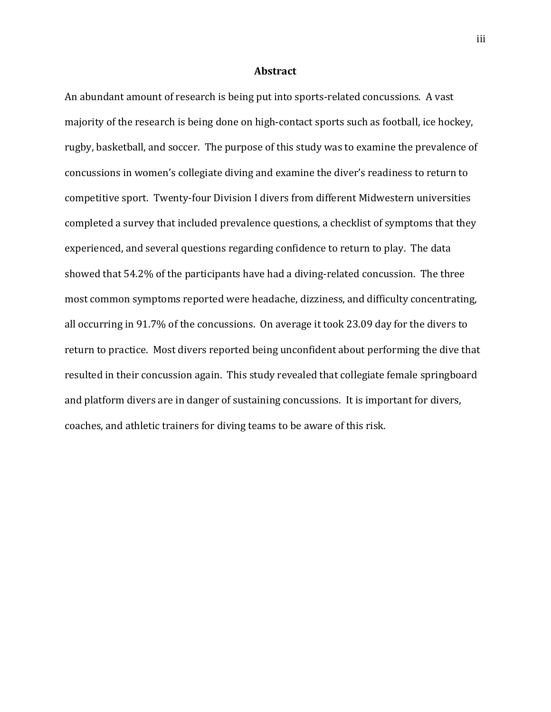#### **Abstract**

An abundant amount of research is being put into sports-related concussions. A vast majority of the research is being done on high-contact sports such as football, ice hockey, rugby, basketball, and soccer. The purpose of this study was to examine the prevalence of concussions in women's collegiate diving and examine the diver's readiness to return to competitive sport. Twenty-four Division I divers from different Midwestern universities completed a survey that included prevalence questions, a checklist of symptoms that they experienced, and several questions regarding confidence to return to play. The data showed that 54.2% of the participants have had a diving-related concussion. The three most common symptoms reported were headache, dizziness, and difficulty concentrating, all occurring in 91.7% of the concussions. On average it took 23.09 day for the divers to return to practice. Most divers reported being unconfident about performing the dive that resulted in their concussion again. This study revealed that collegiate female springboard and platform divers are in danger of sustaining concussions. It is important for divers, coaches, and athletic trainers for diving teams to be aware of this risk.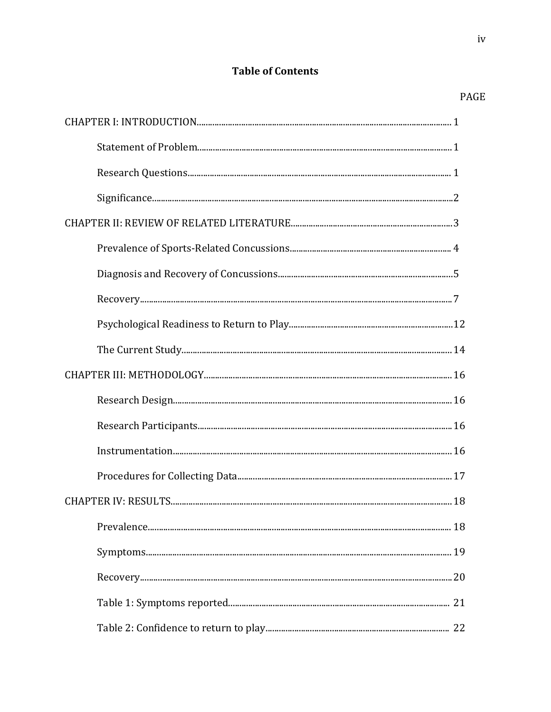# **Table of Contents**

# PAGE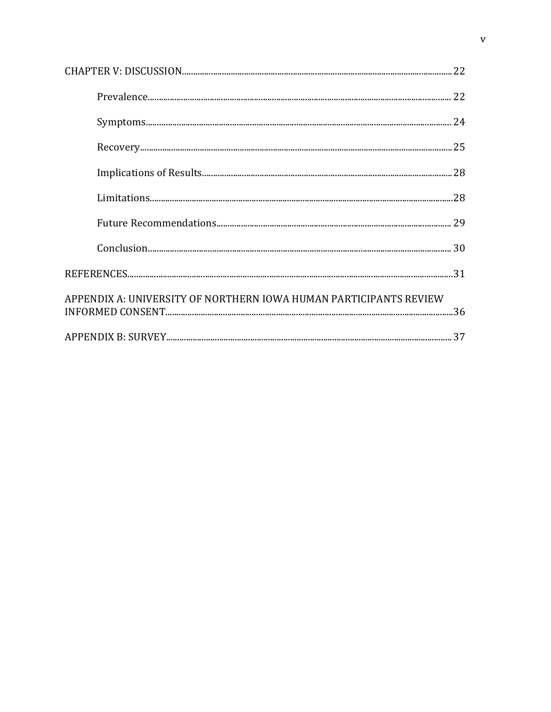| APPENDIX A: UNIVERSITY OF NORTHERN IOWA HUMAN PARTICIPANTS REVIEW |  |
|-------------------------------------------------------------------|--|
|                                                                   |  |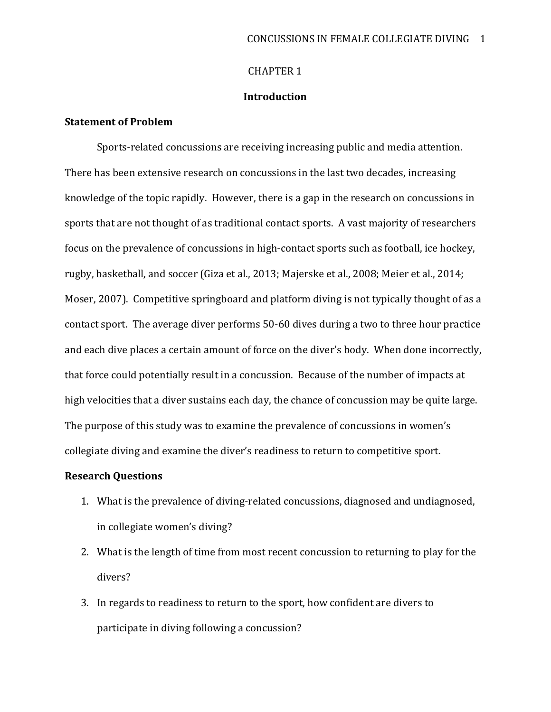### CHAPTER 1

#### **Introduction**

### **Statement of Problem**

Sports-related concussions are receiving increasing public and media attention. There has been extensive research on concussions in the last two decades, increasing knowledge of the topic rapidly. However, there is a gap in the research on concussions in sports that are not thought of as traditional contact sports. A vast majority of researchers focus on the prevalence of concussions in high-contact sports such as football, ice hockey, rugby, basketball, and soccer (Giza et al., 2013; Majerske et al., 2008; Meier et al., 2014; Moser, 2007). Competitive springboard and platform diving is not typically thought of as a contact sport. The average diver performs 50-60 dives during a two to three hour practice and each dive places a certain amount of force on the diver's body. When done incorrectly, that force could potentially result in a concussion. Because of the number of impacts at high velocities that a diver sustains each day, the chance of concussion may be quite large. The purpose of this study was to examine the prevalence of concussions in women's collegiate diving and examine the diver's readiness to return to competitive sport.

## **Research Questions**

- 1. What is the prevalence of diving-related concussions, diagnosed and undiagnosed, in collegiate women's diving?
- 2. What is the length of time from most recent concussion to returning to play for the divers?
- 3. In regards to readiness to return to the sport, how confident are divers to participate in diving following a concussion?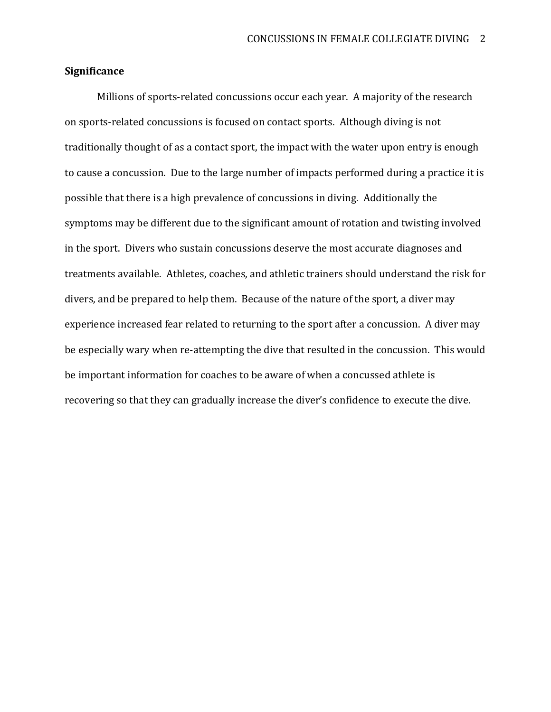## **Significance**

Millions of sports-related concussions occur each year. A majority of the research on sports-related concussions is focused on contact sports. Although diving is not traditionally thought of as a contact sport, the impact with the water upon entry is enough to cause a concussion. Due to the large number of impacts performed during a practice it is possible that there is a high prevalence of concussions in diving. Additionally the symptoms may be different due to the significant amount of rotation and twisting involved in the sport. Divers who sustain concussions deserve the most accurate diagnoses and treatments available. Athletes, coaches, and athletic trainers should understand the risk for divers, and be prepared to help them. Because of the nature of the sport, a diver may experience increased fear related to returning to the sport after a concussion. A diver may be especially wary when re-attempting the dive that resulted in the concussion. This would be important information for coaches to be aware of when a concussed athlete is recovering so that they can gradually increase the diver's confidence to execute the dive.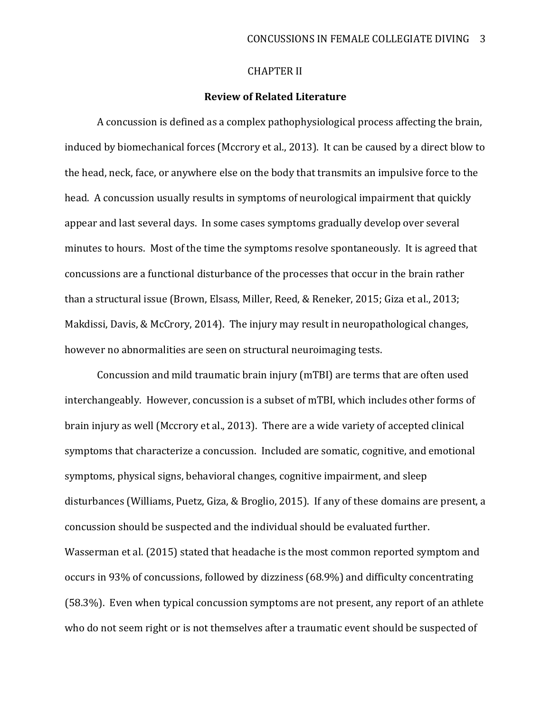### CHAPTER II

### **Review of Related Literature**

A concussion is defined as a complex pathophysiological process affecting the brain, induced by biomechanical forces (Mccrory et al., 2013). It can be caused by a direct blow to the head, neck, face, or anywhere else on the body that transmits an impulsive force to the head. A concussion usually results in symptoms of neurological impairment that quickly appear and last several days. In some cases symptoms gradually develop over several minutes to hours. Most of the time the symptoms resolve spontaneously. It is agreed that concussions are a functional disturbance of the processes that occur in the brain rather than a structural issue (Brown, Elsass, Miller, Reed, & Reneker, 2015; Giza et al., 2013; Makdissi, Davis, & McCrory, 2014). The injury may result in neuropathological changes, however no abnormalities are seen on structural neuroimaging tests.

Concussion and mild traumatic brain injury (mTBI) are terms that are often used interchangeably. However, concussion is a subset of mTBI, which includes other forms of brain injury as well (Mccrory et al., 2013). There are a wide variety of accepted clinical symptoms that characterize a concussion. Included are somatic, cognitive, and emotional symptoms, physical signs, behavioral changes, cognitive impairment, and sleep disturbances (Williams, Puetz, Giza, & Broglio, 2015). If any of these domains are present, a concussion should be suspected and the individual should be evaluated further. Wasserman et al. (2015) stated that headache is the most common reported symptom and occurs in 93% of concussions, followed by dizziness (68.9%) and difficulty concentrating (58.3%). Even when typical concussion symptoms are not present, any report of an athlete who do not seem right or is not themselves after a traumatic event should be suspected of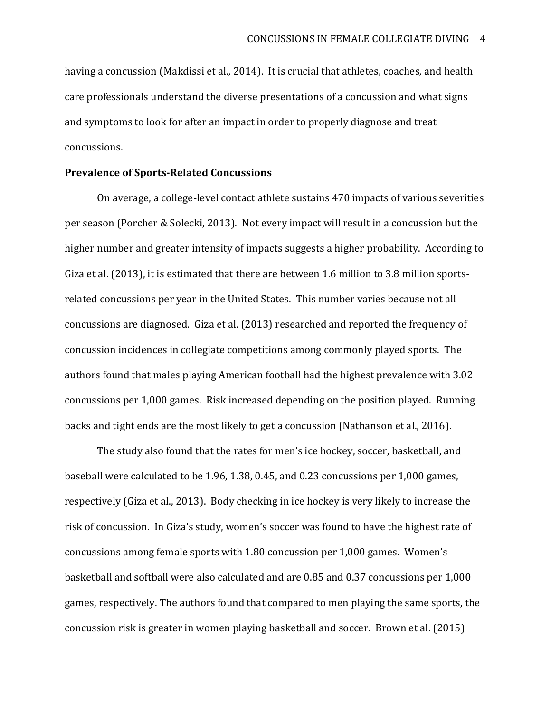having a concussion (Makdissi et al., 2014). It is crucial that athletes, coaches, and health care professionals understand the diverse presentations of a concussion and what signs and symptoms to look for after an impact in order to properly diagnose and treat concussions.

#### **Prevalence of Sports-Related Concussions**

On average, a college-level contact athlete sustains 470 impacts of various severities per season (Porcher & Solecki, 2013). Not every impact will result in a concussion but the higher number and greater intensity of impacts suggests a higher probability. According to Giza et al. (2013), it is estimated that there are between 1.6 million to 3.8 million sportsrelated concussions per year in the United States. This number varies because not all concussions are diagnosed. Giza et al. (2013) researched and reported the frequency of concussion incidences in collegiate competitions among commonly played sports. The authors found that males playing American football had the highest prevalence with 3.02 concussions per 1,000 games. Risk increased depending on the position played. Running backs and tight ends are the most likely to get a concussion (Nathanson et al., 2016).

The study also found that the rates for men's ice hockey, soccer, basketball, and baseball were calculated to be 1.96, 1.38, 0.45, and 0.23 concussions per 1,000 games, respectively (Giza et al., 2013). Body checking in ice hockey is very likely to increase the risk of concussion. In Giza's study, women's soccer was found to have the highest rate of concussions among female sports with 1.80 concussion per 1,000 games. Women's basketball and softball were also calculated and are 0.85 and 0.37 concussions per 1,000 games, respectively. The authors found that compared to men playing the same sports, the concussion risk is greater in women playing basketball and soccer. Brown et al. (2015)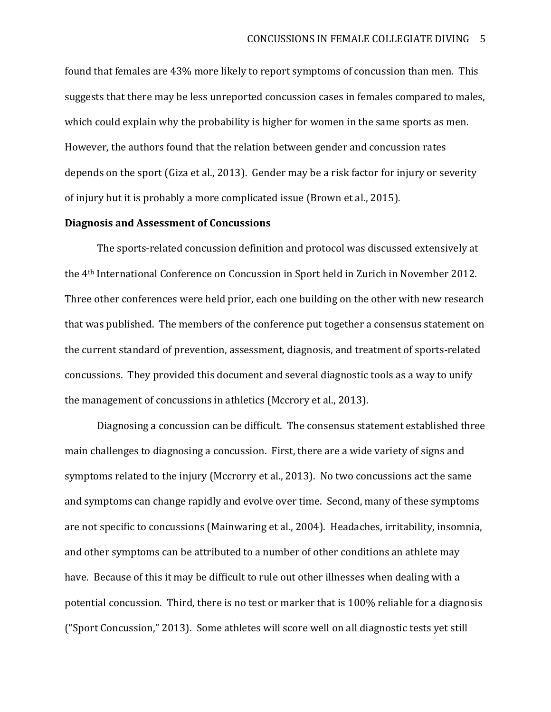found that females are 43% more likely to report symptoms of concussion than men. This suggests that there may be less unreported concussion cases in females compared to males, which could explain why the probability is higher for women in the same sports as men. However, the authors found that the relation between gender and concussion rates depends on the sport (Giza et al., 2013). Gender may be a risk factor for injury or severity of injury but it is probably a more complicated issue (Brown et al., 2015).

### **Diagnosis and Assessment of Concussions**

The sports-related concussion definition and protocol was discussed extensively at the 4th International Conference on Concussion in Sport held in Zurich in November 2012. Three other conferences were held prior, each one building on the other with new research that was published. The members of the conference put together a consensus statement on the current standard of prevention, assessment, diagnosis, and treatment of sports-related concussions. They provided this document and several diagnostic tools as a way to unify the management of concussions in athletics (Mccrory et al., 2013).

Diagnosing a concussion can be difficult. The consensus statement established three main challenges to diagnosing a concussion. First, there are a wide variety of signs and symptoms related to the injury (Mccrorry et al., 2013). No two concussions act the same and symptoms can change rapidly and evolve over time. Second, many of these symptoms are not specific to concussions (Mainwaring et al., 2004). Headaches, irritability, insomnia, and other symptoms can be attributed to a number of other conditions an athlete may have. Because of this it may be difficult to rule out other illnesses when dealing with a potential concussion. Third, there is no test or marker that is 100% reliable for a diagnosis ("Sport Concussion," 2013). Some athletes will score well on all diagnostic tests yet still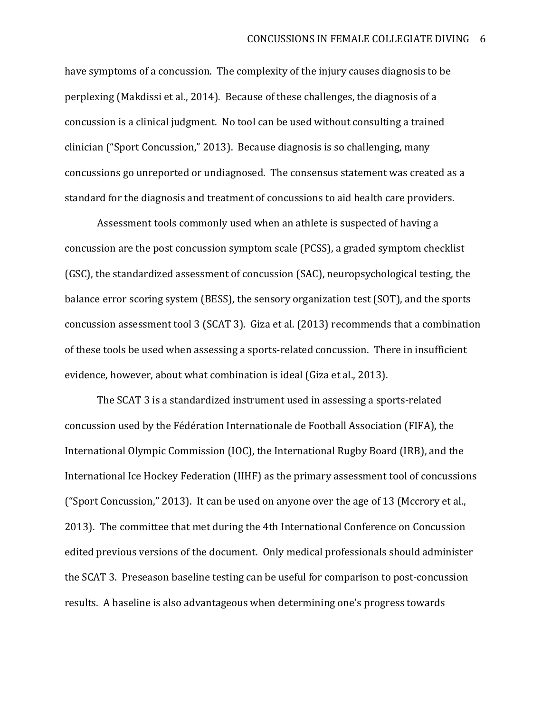have symptoms of a concussion. The complexity of the injury causes diagnosis to be perplexing (Makdissi et al., 2014). Because of these challenges, the diagnosis of a concussion is a clinical judgment. No tool can be used without consulting a trained clinician ("Sport Concussion," 2013). Because diagnosis is so challenging, many concussions go unreported or undiagnosed. The consensus statement was created as a standard for the diagnosis and treatment of concussions to aid health care providers.

Assessment tools commonly used when an athlete is suspected of having a concussion are the post concussion symptom scale (PCSS), a graded symptom checklist (GSC), the standardized assessment of concussion (SAC), neuropsychological testing, the balance error scoring system (BESS), the sensory organization test (SOT), and the sports concussion assessment tool 3 (SCAT 3). Giza et al. (2013) recommends that a combination of these tools be used when assessing a sports-related concussion. There in insufficient evidence, however, about what combination is ideal (Giza et al., 2013).

The SCAT 3 is a standardized instrument used in assessing a sports-related concussion used by the Fédération Internationale de Football Association (FIFA), the International Olympic Commission (IOC), the International Rugby Board (IRB), and the International Ice Hockey Federation (IIHF) as the primary assessment tool of concussions ("Sport Concussion," 2013). It can be used on anyone over the age of 13 (Mccrory et al., 2013). The committee that met during the 4th International Conference on Concussion edited previous versions of the document. Only medical professionals should administer the SCAT 3. Preseason baseline testing can be useful for comparison to post-concussion results. A baseline is also advantageous when determining one's progress towards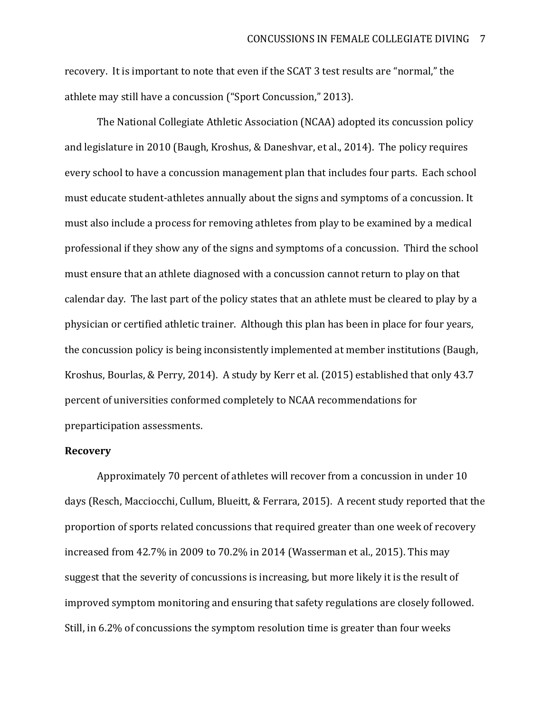recovery. It is important to note that even if the SCAT 3 test results are "normal," the athlete may still have a concussion ("Sport Concussion," 2013).

The National Collegiate Athletic Association (NCAA) adopted its concussion policy and legislature in 2010 (Baugh, Kroshus, & Daneshvar, et al., 2014). The policy requires every school to have a concussion management plan that includes four parts. Each school must educate student-athletes annually about the signs and symptoms of a concussion. It must also include a process for removing athletes from play to be examined by a medical professional if they show any of the signs and symptoms of a concussion. Third the school must ensure that an athlete diagnosed with a concussion cannot return to play on that calendar day. The last part of the policy states that an athlete must be cleared to play by a physician or certified athletic trainer. Although this plan has been in place for four years, the concussion policy is being inconsistently implemented at member institutions (Baugh, Kroshus, Bourlas, & Perry, 2014). A study by Kerr et al. (2015) established that only 43.7 percent of universities conformed completely to NCAA recommendations for preparticipation assessments.

#### **Recovery**

Approximately 70 percent of athletes will recover from a concussion in under 10 days (Resch, Macciocchi, Cullum, Blueitt, & Ferrara, 2015). A recent study reported that the proportion of sports related concussions that required greater than one week of recovery increased from 42.7% in 2009 to 70.2% in 2014 (Wasserman et al., 2015). This may suggest that the severity of concussions is increasing, but more likely it is the result of improved symptom monitoring and ensuring that safety regulations are closely followed. Still, in 6.2% of concussions the symptom resolution time is greater than four weeks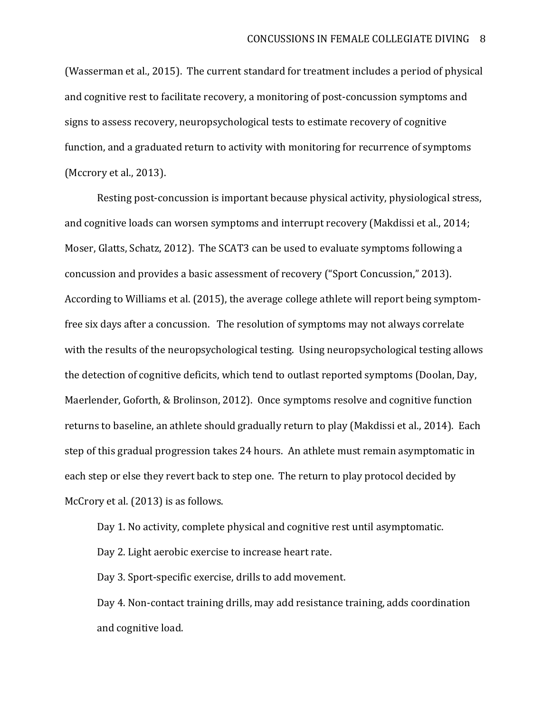(Wasserman et al., 2015). The current standard for treatment includes a period of physical and cognitive rest to facilitate recovery, a monitoring of post-concussion symptoms and signs to assess recovery, neuropsychological tests to estimate recovery of cognitive function, and a graduated return to activity with monitoring for recurrence of symptoms (Mccrory et al., 2013).

Resting post-concussion is important because physical activity, physiological stress, and cognitive loads can worsen symptoms and interrupt recovery (Makdissi et al., 2014; Moser, Glatts, Schatz, 2012). The SCAT3 can be used to evaluate symptoms following a concussion and provides a basic assessment of recovery ("Sport Concussion," 2013). According to Williams et al. (2015), the average college athlete will report being symptomfree six days after a concussion. The resolution of symptoms may not always correlate with the results of the neuropsychological testing. Using neuropsychological testing allows the detection of cognitive deficits, which tend to outlast reported symptoms (Doolan, Day, Maerlender, Goforth, & Brolinson, 2012). Once symptoms resolve and cognitive function returns to baseline, an athlete should gradually return to play (Makdissi et al., 2014). Each step of this gradual progression takes 24 hours. An athlete must remain asymptomatic in each step or else they revert back to step one. The return to play protocol decided by McCrory et al. (2013) is as follows.

Day 1. No activity, complete physical and cognitive rest until asymptomatic.

Day 2. Light aerobic exercise to increase heart rate.

Day 3. Sport-specific exercise, drills to add movement.

Day 4. Non-contact training drills, may add resistance training, adds coordination and cognitive load.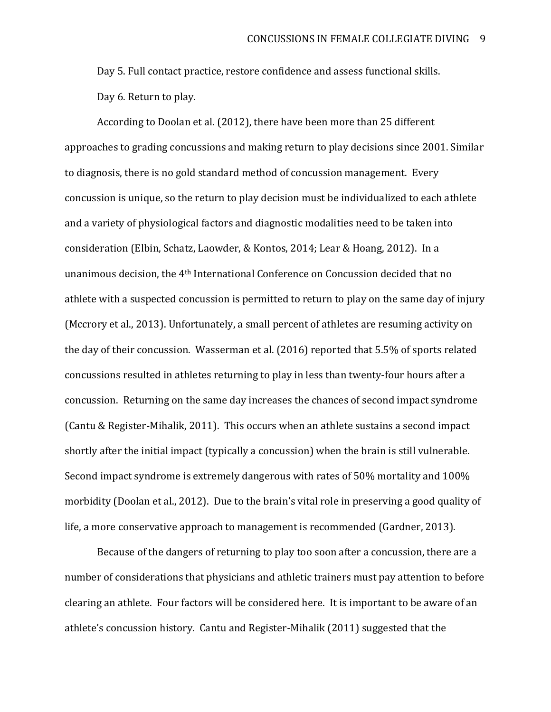Day 5. Full contact practice, restore confidence and assess functional skills. Day 6. Return to play.

According to Doolan et al. (2012), there have been more than 25 different approaches to grading concussions and making return to play decisions since 2001. Similar to diagnosis, there is no gold standard method of concussion management. Every concussion is unique, so the return to play decision must be individualized to each athlete and a variety of physiological factors and diagnostic modalities need to be taken into consideration (Elbin, Schatz, Laowder, & Kontos, 2014; Lear & Hoang, 2012). In a unanimous decision, the 4th International Conference on Concussion decided that no athlete with a suspected concussion is permitted to return to play on the same day of injury (Mccrory et al., 2013). Unfortunately, a small percent of athletes are resuming activity on the day of their concussion. Wasserman et al. (2016) reported that 5.5% of sports related concussions resulted in athletes returning to play in less than twenty-four hours after a concussion. Returning on the same day increases the chances of second impact syndrome (Cantu & Register-Mihalik, 2011). This occurs when an athlete sustains a second impact shortly after the initial impact (typically a concussion) when the brain is still vulnerable. Second impact syndrome is extremely dangerous with rates of 50% mortality and 100% morbidity (Doolan et al., 2012). Due to the brain's vital role in preserving a good quality of life, a more conservative approach to management is recommended (Gardner, 2013).

Because of the dangers of returning to play too soon after a concussion, there are a number of considerations that physicians and athletic trainers must pay attention to before clearing an athlete. Four factors will be considered here. It is important to be aware of an athlete's concussion history. Cantu and Register-Mihalik (2011) suggested that the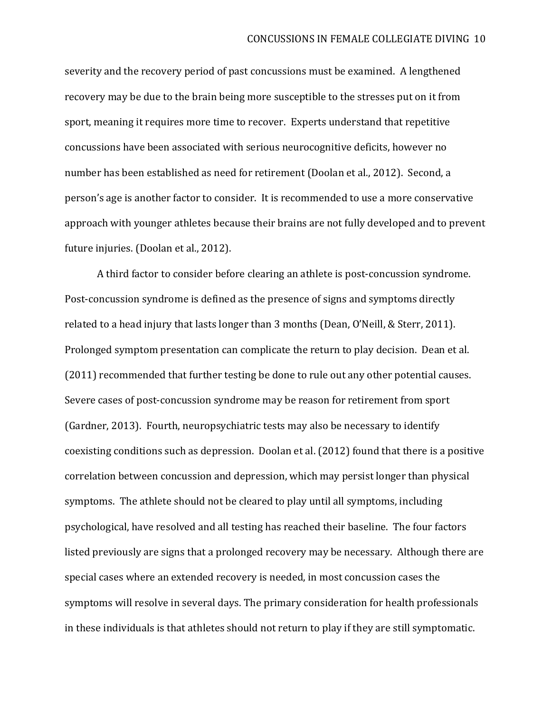severity and the recovery period of past concussions must be examined. A lengthened recovery may be due to the brain being more susceptible to the stresses put on it from sport, meaning it requires more time to recover. Experts understand that repetitive concussions have been associated with serious neurocognitive deficits, however no number has been established as need for retirement (Doolan et al., 2012). Second, a person's age is another factor to consider. It is recommended to use a more conservative approach with younger athletes because their brains are not fully developed and to prevent future injuries. (Doolan et al., 2012).

A third factor to consider before clearing an athlete is post-concussion syndrome. Post-concussion syndrome is defined as the presence of signs and symptoms directly related to a head injury that lasts longer than 3 months (Dean, O'Neill, & Sterr, 2011). Prolonged symptom presentation can complicate the return to play decision. Dean et al. (2011) recommended that further testing be done to rule out any other potential causes. Severe cases of post-concussion syndrome may be reason for retirement from sport (Gardner, 2013). Fourth, neuropsychiatric tests may also be necessary to identify coexisting conditions such as depression. Doolan et al. (2012) found that there is a positive correlation between concussion and depression, which may persist longer than physical symptoms. The athlete should not be cleared to play until all symptoms, including psychological, have resolved and all testing has reached their baseline. The four factors listed previously are signs that a prolonged recovery may be necessary. Although there are special cases where an extended recovery is needed, in most concussion cases the symptoms will resolve in several days. The primary consideration for health professionals in these individuals is that athletes should not return to play if they are still symptomatic.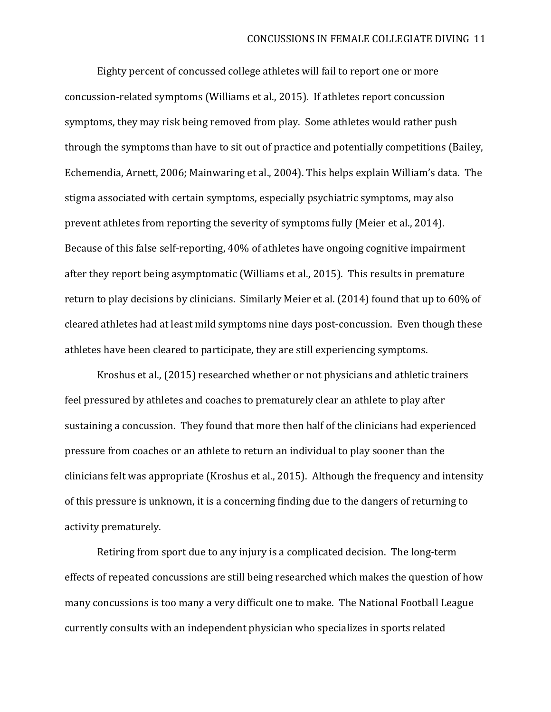Eighty percent of concussed college athletes will fail to report one or more concussion-related symptoms (Williams et al., 2015). If athletes report concussion symptoms, they may risk being removed from play. Some athletes would rather push through the symptoms than have to sit out of practice and potentially competitions (Bailey, Echemendia, Arnett, 2006; Mainwaring et al., 2004). This helps explain William's data. The stigma associated with certain symptoms, especially psychiatric symptoms, may also prevent athletes from reporting the severity of symptoms fully (Meier et al., 2014). Because of this false self-reporting, 40% of athletes have ongoing cognitive impairment after they report being asymptomatic (Williams et al., 2015). This results in premature return to play decisions by clinicians. Similarly Meier et al. (2014) found that up to 60% of cleared athletes had at least mild symptoms nine days post-concussion. Even though these athletes have been cleared to participate, they are still experiencing symptoms.

Kroshus et al., (2015) researched whether or not physicians and athletic trainers feel pressured by athletes and coaches to prematurely clear an athlete to play after sustaining a concussion. They found that more then half of the clinicians had experienced pressure from coaches or an athlete to return an individual to play sooner than the clinicians felt was appropriate (Kroshus et al., 2015). Although the frequency and intensity of this pressure is unknown, it is a concerning finding due to the dangers of returning to activity prematurely.

Retiring from sport due to any injury is a complicated decision. The long-term effects of repeated concussions are still being researched which makes the question of how many concussions is too many a very difficult one to make. The National Football League currently consults with an independent physician who specializes in sports related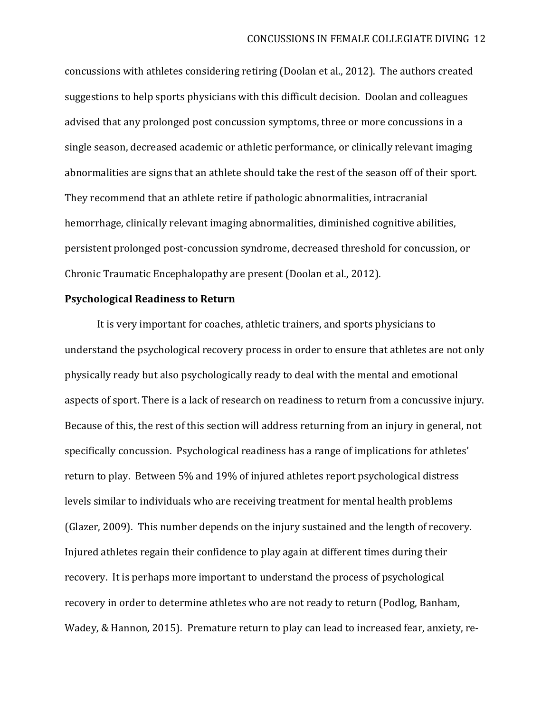concussions with athletes considering retiring (Doolan et al., 2012). The authors created suggestions to help sports physicians with this difficult decision. Doolan and colleagues advised that any prolonged post concussion symptoms, three or more concussions in a single season, decreased academic or athletic performance, or clinically relevant imaging abnormalities are signs that an athlete should take the rest of the season off of their sport. They recommend that an athlete retire if pathologic abnormalities, intracranial hemorrhage, clinically relevant imaging abnormalities, diminished cognitive abilities, persistent prolonged post-concussion syndrome, decreased threshold for concussion, or Chronic Traumatic Encephalopathy are present (Doolan et al., 2012).

## **Psychological Readiness to Return**

It is very important for coaches, athletic trainers, and sports physicians to understand the psychological recovery process in order to ensure that athletes are not only physically ready but also psychologically ready to deal with the mental and emotional aspects of sport. There is a lack of research on readiness to return from a concussive injury. Because of this, the rest of this section will address returning from an injury in general, not specifically concussion. Psychological readiness has a range of implications for athletes' return to play. Between 5% and 19% of injured athletes report psychological distress levels similar to individuals who are receiving treatment for mental health problems (Glazer, 2009). This number depends on the injury sustained and the length of recovery. Injured athletes regain their confidence to play again at different times during their recovery. It is perhaps more important to understand the process of psychological recovery in order to determine athletes who are not ready to return (Podlog, Banham, Wadey, & Hannon, 2015). Premature return to play can lead to increased fear, anxiety, re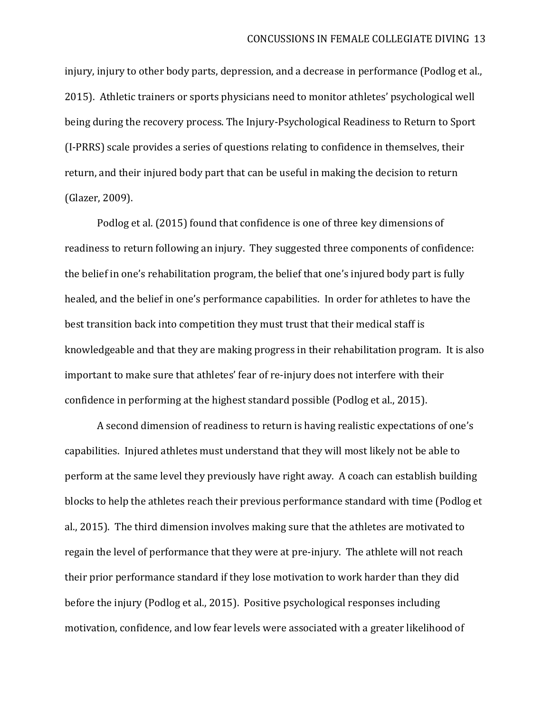injury, injury to other body parts, depression, and a decrease in performance (Podlog et al., 2015). Athletic trainers or sports physicians need to monitor athletes' psychological well being during the recovery process. The Injury-Psychological Readiness to Return to Sport (I-PRRS) scale provides a series of questions relating to confidence in themselves, their return, and their injured body part that can be useful in making the decision to return (Glazer, 2009).

Podlog et al. (2015) found that confidence is one of three key dimensions of readiness to return following an injury. They suggested three components of confidence: the belief in one's rehabilitation program, the belief that one's injured body part is fully healed, and the belief in one's performance capabilities. In order for athletes to have the best transition back into competition they must trust that their medical staff is knowledgeable and that they are making progress in their rehabilitation program. It is also important to make sure that athletes' fear of re-injury does not interfere with their confidence in performing at the highest standard possible (Podlog et al., 2015).

A second dimension of readiness to return is having realistic expectations of one's capabilities. Injured athletes must understand that they will most likely not be able to perform at the same level they previously have right away. A coach can establish building blocks to help the athletes reach their previous performance standard with time (Podlog et al., 2015). The third dimension involves making sure that the athletes are motivated to regain the level of performance that they were at pre-injury. The athlete will not reach their prior performance standard if they lose motivation to work harder than they did before the injury (Podlog et al., 2015). Positive psychological responses including motivation, confidence, and low fear levels were associated with a greater likelihood of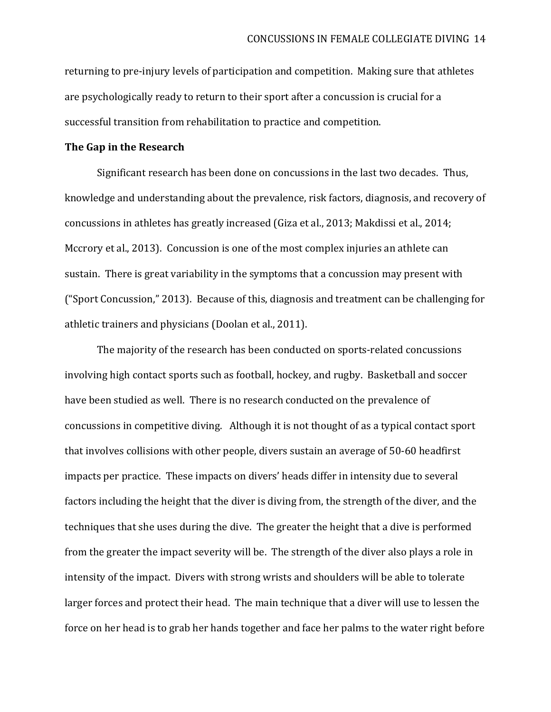returning to pre-injury levels of participation and competition. Making sure that athletes are psychologically ready to return to their sport after a concussion is crucial for a successful transition from rehabilitation to practice and competition.

#### **The Gap in the Research**

Significant research has been done on concussions in the last two decades. Thus, knowledge and understanding about the prevalence, risk factors, diagnosis, and recovery of concussions in athletes has greatly increased (Giza et al., 2013; Makdissi et al., 2014; Mccrory et al., 2013). Concussion is one of the most complex injuries an athlete can sustain. There is great variability in the symptoms that a concussion may present with ("Sport Concussion," 2013). Because of this, diagnosis and treatment can be challenging for athletic trainers and physicians (Doolan et al., 2011).

The majority of the research has been conducted on sports-related concussions involving high contact sports such as football, hockey, and rugby. Basketball and soccer have been studied as well. There is no research conducted on the prevalence of concussions in competitive diving. Although it is not thought of as a typical contact sport that involves collisions with other people, divers sustain an average of 50-60 headfirst impacts per practice. These impacts on divers' heads differ in intensity due to several factors including the height that the diver is diving from, the strength of the diver, and the techniques that she uses during the dive. The greater the height that a dive is performed from the greater the impact severity will be. The strength of the diver also plays a role in intensity of the impact. Divers with strong wrists and shoulders will be able to tolerate larger forces and protect their head. The main technique that a diver will use to lessen the force on her head is to grab her hands together and face her palms to the water right before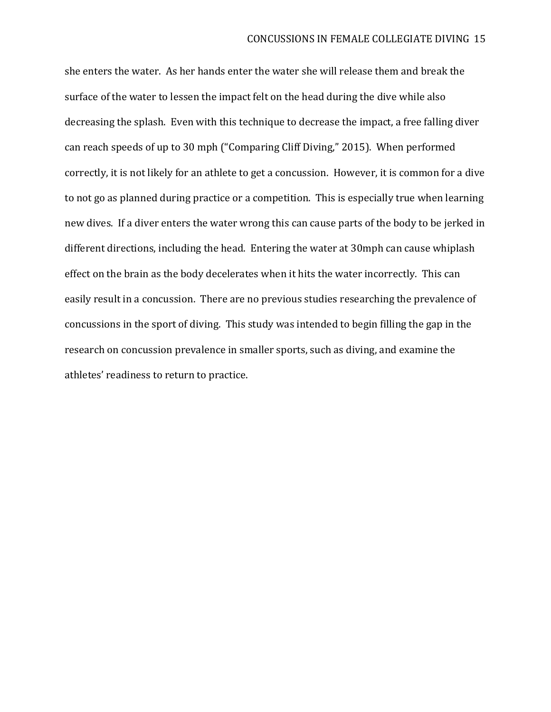she enters the water. As her hands enter the water she will release them and break the surface of the water to lessen the impact felt on the head during the dive while also decreasing the splash. Even with this technique to decrease the impact, a free falling diver can reach speeds of up to 30 mph ("Comparing Cliff Diving," 2015). When performed correctly, it is not likely for an athlete to get a concussion. However, it is common for a dive to not go as planned during practice or a competition. This is especially true when learning new dives. If a diver enters the water wrong this can cause parts of the body to be jerked in different directions, including the head. Entering the water at 30mph can cause whiplash effect on the brain as the body decelerates when it hits the water incorrectly. This can easily result in a concussion. There are no previous studies researching the prevalence of concussions in the sport of diving. This study was intended to begin filling the gap in the research on concussion prevalence in smaller sports, such as diving, and examine the athletes' readiness to return to practice.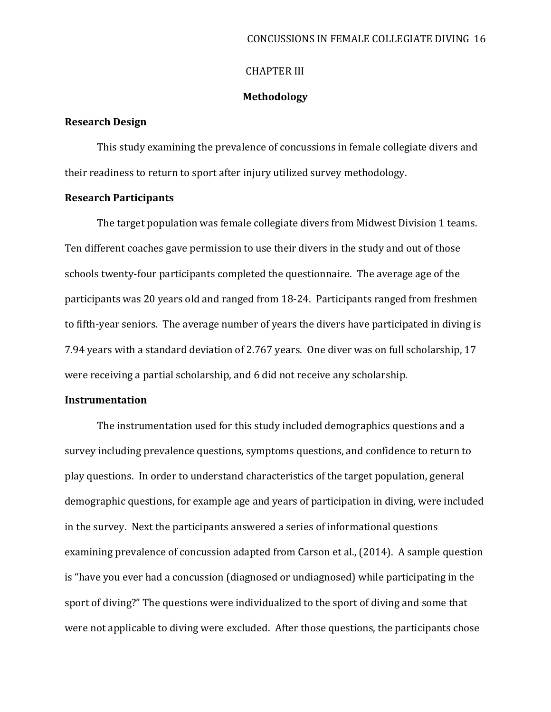## CHAPTER III

### **Methodology**

#### **Research Design**

This study examining the prevalence of concussions in female collegiate divers and their readiness to return to sport after injury utilized survey methodology.

### **Research Participants**

The target population was female collegiate divers from Midwest Division 1 teams. Ten different coaches gave permission to use their divers in the study and out of those schools twenty-four participants completed the questionnaire. The average age of the participants was 20 years old and ranged from 18-24. Participants ranged from freshmen to fifth-year seniors. The average number of years the divers have participated in diving is 7.94 years with a standard deviation of 2.767 years. One diver was on full scholarship, 17 were receiving a partial scholarship, and 6 did not receive any scholarship.

### **Instrumentation**

The instrumentation used for this study included demographics questions and a survey including prevalence questions, symptoms questions, and confidence to return to play questions. In order to understand characteristics of the target population, general demographic questions, for example age and years of participation in diving, were included in the survey. Next the participants answered a series of informational questions examining prevalence of concussion adapted from Carson et al., (2014). A sample question is "have you ever had a concussion (diagnosed or undiagnosed) while participating in the sport of diving?" The questions were individualized to the sport of diving and some that were not applicable to diving were excluded. After those questions, the participants chose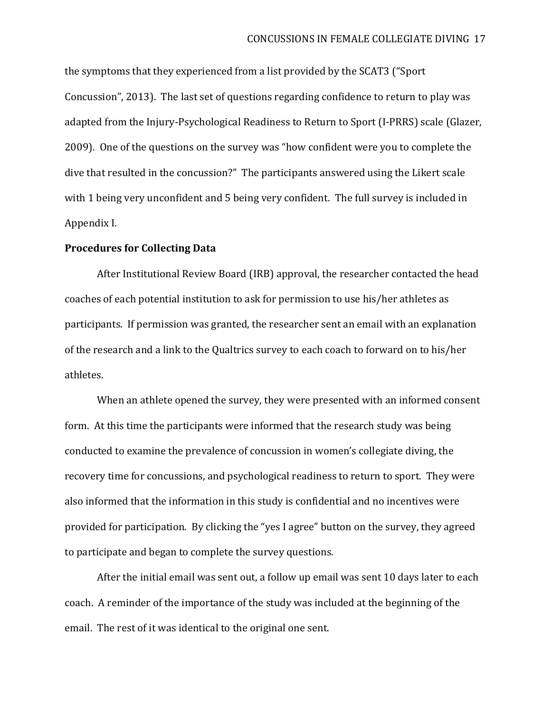the symptoms that they experienced from a list provided by the SCAT3 ("Sport Concussion", 2013). The last set of questions regarding confidence to return to play was adapted from the Injury-Psychological Readiness to Return to Sport (I-PRRS) scale (Glazer, 2009). One of the questions on the survey was "how confident were you to complete the dive that resulted in the concussion?" The participants answered using the Likert scale with 1 being very unconfident and 5 being very confident. The full survey is included in Appendix I.

### **Procedures for Collecting Data**

After Institutional Review Board (IRB) approval, the researcher contacted the head coaches of each potential institution to ask for permission to use his/her athletes as participants. If permission was granted, the researcher sent an email with an explanation of the research and a link to the Qualtrics survey to each coach to forward on to his/her athletes.

When an athlete opened the survey, they were presented with an informed consent form. At this time the participants were informed that the research study was being conducted to examine the prevalence of concussion in women's collegiate diving, the recovery time for concussions, and psychological readiness to return to sport. They were also informed that the information in this study is confidential and no incentives were provided for participation. By clicking the "yes I agree" button on the survey, they agreed to participate and began to complete the survey questions.

After the initial email was sent out, a follow up email was sent 10 days later to each coach. A reminder of the importance of the study was included at the beginning of the email. The rest of it was identical to the original one sent.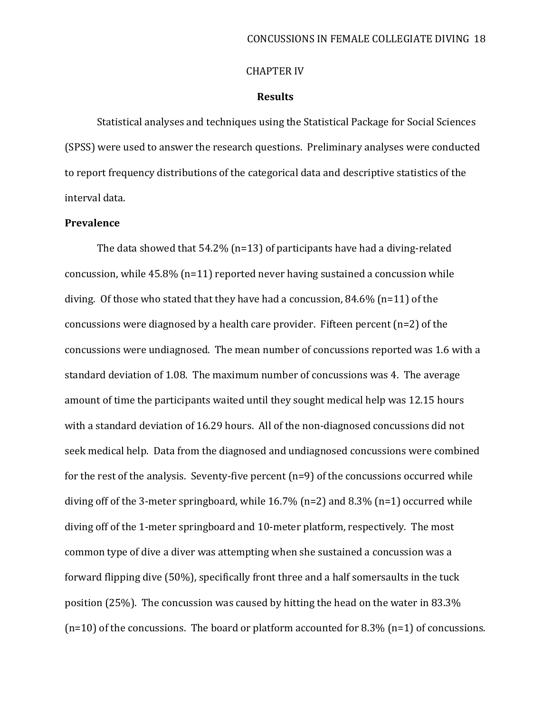#### CHAPTER IV

### **Results**

Statistical analyses and techniques using the Statistical Package for Social Sciences (SPSS) were used to answer the research questions. Preliminary analyses were conducted to report frequency distributions of the categorical data and descriptive statistics of the interval data.

### **Prevalence**

The data showed that 54.2% (n=13) of participants have had a diving-related concussion, while 45.8% (n=11) reported never having sustained a concussion while diving. Of those who stated that they have had a concussion, 84.6% (n=11) of the concussions were diagnosed by a health care provider. Fifteen percent (n=2) of the concussions were undiagnosed. The mean number of concussions reported was 1.6 with a standard deviation of 1.08. The maximum number of concussions was 4. The average amount of time the participants waited until they sought medical help was 12.15 hours with a standard deviation of 16.29 hours. All of the non-diagnosed concussions did not seek medical help. Data from the diagnosed and undiagnosed concussions were combined for the rest of the analysis. Seventy-five percent (n=9) of the concussions occurred while diving off of the 3-meter springboard, while 16.7% (n=2) and 8.3% (n=1) occurred while diving off of the 1-meter springboard and 10-meter platform, respectively. The most common type of dive a diver was attempting when she sustained a concussion was a forward flipping dive (50%), specifically front three and a half somersaults in the tuck position (25%). The concussion was caused by hitting the head on the water in 83.3%  $(n=10)$  of the concussions. The board or platform accounted for 8.3%  $(n=1)$  of concussions.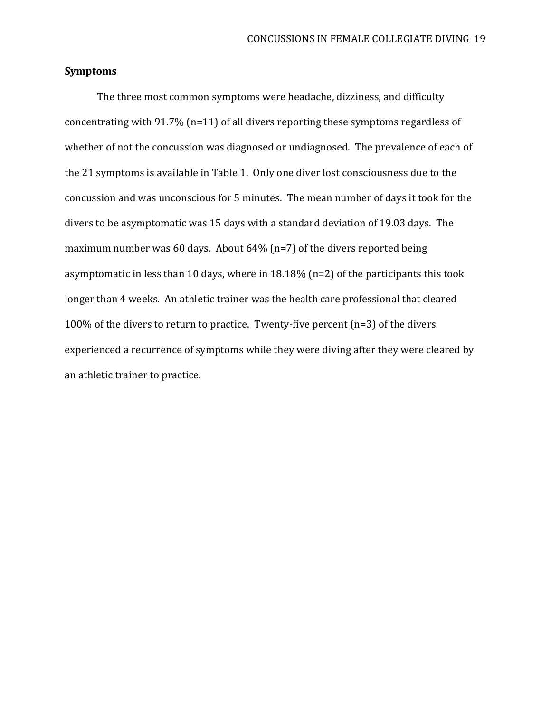### **Symptoms**

The three most common symptoms were headache, dizziness, and difficulty concentrating with 91.7% (n=11) of all divers reporting these symptoms regardless of whether of not the concussion was diagnosed or undiagnosed. The prevalence of each of the 21 symptoms is available in Table 1. Only one diver lost consciousness due to the concussion and was unconscious for 5 minutes. The mean number of days it took for the divers to be asymptomatic was 15 days with a standard deviation of 19.03 days. The maximum number was 60 days. About 64% (n=7) of the divers reported being asymptomatic in less than 10 days, where in 18.18% (n=2) of the participants this took longer than 4 weeks. An athletic trainer was the health care professional that cleared 100% of the divers to return to practice. Twenty-five percent (n=3) of the divers experienced a recurrence of symptoms while they were diving after they were cleared by an athletic trainer to practice.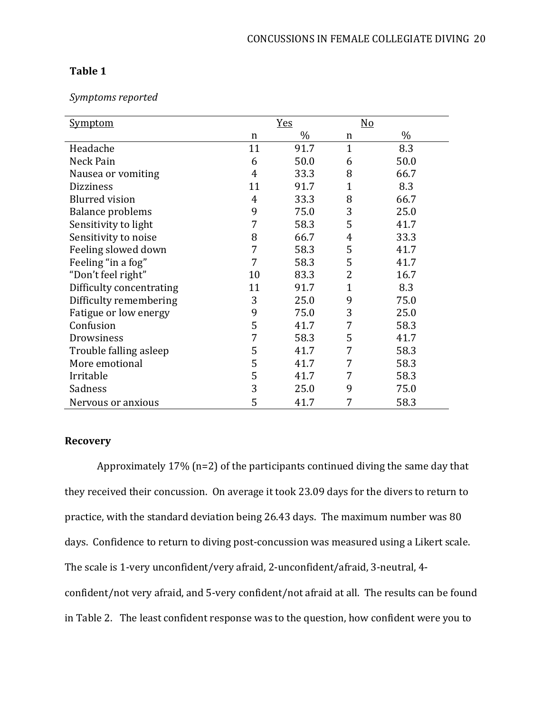# **Table 1**

## *Symptoms reported*

| <u>Symptom</u>           |    | <u>Yes</u> |                | No   |
|--------------------------|----|------------|----------------|------|
|                          | n  | $\%$       | n              | $\%$ |
| Headache                 | 11 | 91.7       | $\mathbf{1}$   | 8.3  |
| Neck Pain                | 6  | 50.0       | 6              | 50.0 |
| Nausea or vomiting       | 4  | 33.3       | 8              | 66.7 |
| <b>Dizziness</b>         | 11 | 91.7       | $\mathbf{1}$   | 8.3  |
| <b>Blurred</b> vision    | 4  | 33.3       | 8              | 66.7 |
| <b>Balance problems</b>  | 9  | 75.0       | 3              | 25.0 |
| Sensitivity to light     | 7  | 58.3       | 5              | 41.7 |
| Sensitivity to noise     | 8  | 66.7       | $\overline{4}$ | 33.3 |
| Feeling slowed down      | 7  | 58.3       | 5              | 41.7 |
| Feeling "in a fog"       | 7  | 58.3       | 5              | 41.7 |
| "Don't feel right"       | 10 | 83.3       | $\overline{2}$ | 16.7 |
| Difficulty concentrating | 11 | 91.7       | $\mathbf{1}$   | 8.3  |
| Difficulty remembering   | 3  | 25.0       | 9              | 75.0 |
| Fatigue or low energy    | 9  | 75.0       | 3              | 25.0 |
| Confusion                | 5  | 41.7       | 7              | 58.3 |
| Drowsiness               | 7  | 58.3       | 5              | 41.7 |
| Trouble falling asleep   | 5  | 41.7       | 7              | 58.3 |
| More emotional           | 5  | 41.7       | 7              | 58.3 |
| Irritable                | 5  | 41.7       | 7              | 58.3 |
| Sadness                  | 3  | 25.0       | 9              | 75.0 |
| Nervous or anxious       | 5  | 41.7       | 7              | 58.3 |

# **Recovery**

Approximately 17% (n=2) of the participants continued diving the same day that they received their concussion. On average it took 23.09 days for the divers to return to practice, with the standard deviation being 26.43 days. The maximum number was 80 days. Confidence to return to diving post-concussion was measured using a Likert scale. The scale is 1-very unconfident/very afraid, 2-unconfident/afraid, 3-neutral, 4 confident/not very afraid, and 5-very confident/not afraid at all. The results can be found in Table 2. The least confident response was to the question, how confident were you to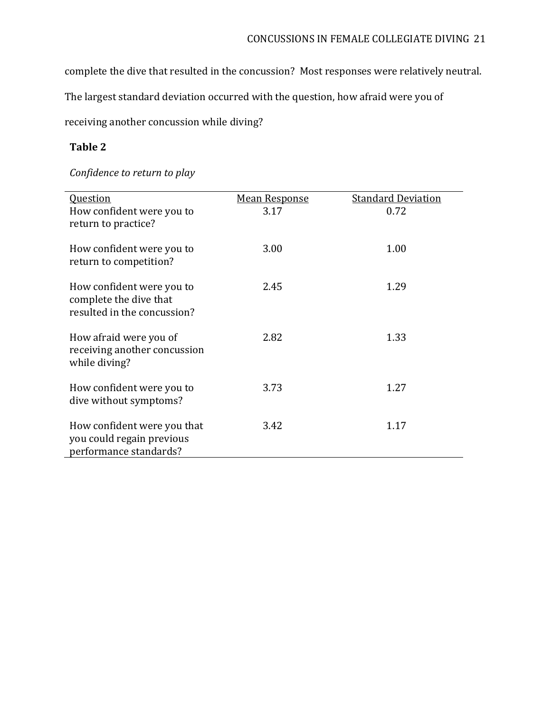complete the dive that resulted in the concussion? Most responses were relatively neutral.

The largest standard deviation occurred with the question, how afraid were you of

receiving another concussion while diving?

# **Table 2**

# *Confidence to return to play*

| <b>Question</b><br>How confident were you to<br>return to practice?                | <b>Mean Response</b><br>3.17 | <b>Standard Deviation</b><br>0.72 |
|------------------------------------------------------------------------------------|------------------------------|-----------------------------------|
| How confident were you to<br>return to competition?                                | 3.00                         | 1.00                              |
| How confident were you to<br>complete the dive that<br>resulted in the concussion? | 2.45                         | 1.29                              |
| How afraid were you of<br>receiving another concussion<br>while diving?            | 2.82                         | 1.33                              |
| How confident were you to<br>dive without symptoms?                                | 3.73                         | 1.27                              |
| How confident were you that<br>you could regain previous<br>performance standards? | 3.42                         | 1.17                              |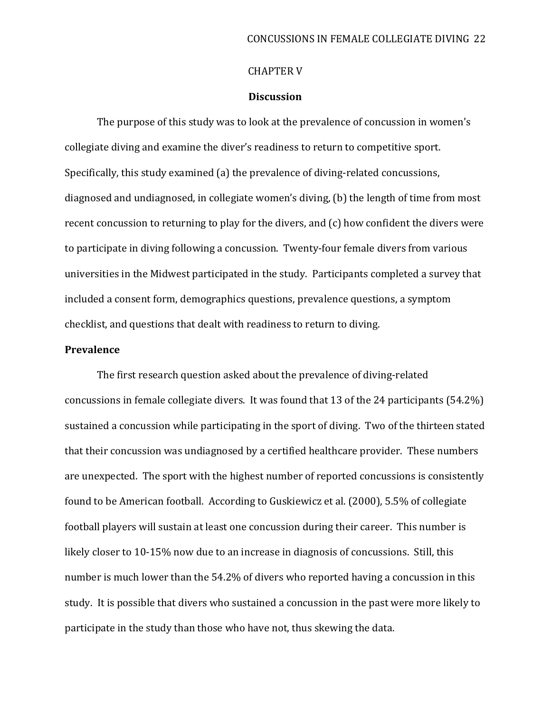#### CHAPTER V

### **Discussion**

The purpose of this study was to look at the prevalence of concussion in women's collegiate diving and examine the diver's readiness to return to competitive sport. Specifically, this study examined (a) the prevalence of diving-related concussions, diagnosed and undiagnosed, in collegiate women's diving, (b) the length of time from most recent concussion to returning to play for the divers, and (c) how confident the divers were to participate in diving following a concussion. Twenty-four female divers from various universities in the Midwest participated in the study. Participants completed a survey that included a consent form, demographics questions, prevalence questions, a symptom checklist, and questions that dealt with readiness to return to diving.

### **Prevalence**

The first research question asked about the prevalence of diving-related concussions in female collegiate divers. It was found that 13 of the 24 participants (54.2%) sustained a concussion while participating in the sport of diving. Two of the thirteen stated that their concussion was undiagnosed by a certified healthcare provider. These numbers are unexpected. The sport with the highest number of reported concussions is consistently found to be American football. According to Guskiewicz et al. (2000), 5.5% of collegiate football players will sustain at least one concussion during their career. This number is likely closer to 10-15% now due to an increase in diagnosis of concussions. Still, this number is much lower than the 54.2% of divers who reported having a concussion in this study. It is possible that divers who sustained a concussion in the past were more likely to participate in the study than those who have not, thus skewing the data.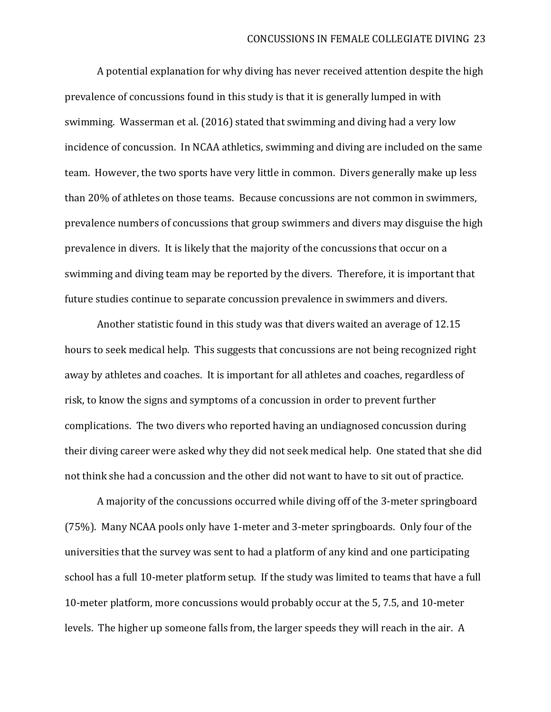A potential explanation for why diving has never received attention despite the high prevalence of concussions found in this study is that it is generally lumped in with swimming. Wasserman et al. (2016) stated that swimming and diving had a very low incidence of concussion. In NCAA athletics, swimming and diving are included on the same team. However, the two sports have very little in common. Divers generally make up less than 20% of athletes on those teams. Because concussions are not common in swimmers, prevalence numbers of concussions that group swimmers and divers may disguise the high prevalence in divers. It is likely that the majority of the concussions that occur on a swimming and diving team may be reported by the divers. Therefore, it is important that future studies continue to separate concussion prevalence in swimmers and divers.

Another statistic found in this study was that divers waited an average of 12.15 hours to seek medical help. This suggests that concussions are not being recognized right away by athletes and coaches. It is important for all athletes and coaches, regardless of risk, to know the signs and symptoms of a concussion in order to prevent further complications. The two divers who reported having an undiagnosed concussion during their diving career were asked why they did not seek medical help. One stated that she did not think she had a concussion and the other did not want to have to sit out of practice.

A majority of the concussions occurred while diving off of the 3-meter springboard (75%). Many NCAA pools only have 1-meter and 3-meter springboards. Only four of the universities that the survey was sent to had a platform of any kind and one participating school has a full 10-meter platform setup. If the study was limited to teams that have a full 10-meter platform, more concussions would probably occur at the 5, 7.5, and 10-meter levels. The higher up someone falls from, the larger speeds they will reach in the air. A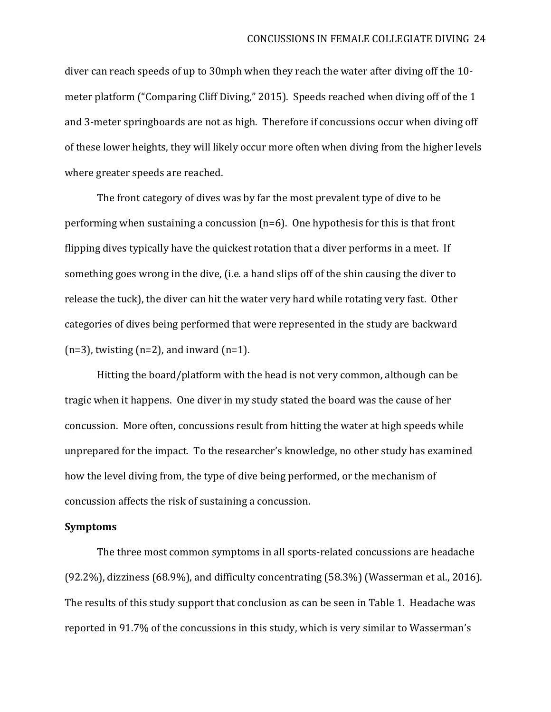diver can reach speeds of up to 30mph when they reach the water after diving off the 10 meter platform ("Comparing Cliff Diving," 2015). Speeds reached when diving off of the 1 and 3-meter springboards are not as high. Therefore if concussions occur when diving off of these lower heights, they will likely occur more often when diving from the higher levels where greater speeds are reached.

The front category of dives was by far the most prevalent type of dive to be performing when sustaining a concussion (n=6). One hypothesis for this is that front flipping dives typically have the quickest rotation that a diver performs in a meet. If something goes wrong in the dive, (i.e. a hand slips off of the shin causing the diver to release the tuck), the diver can hit the water very hard while rotating very fast. Other categories of dives being performed that were represented in the study are backward  $(n=3)$ , twisting  $(n=2)$ , and inward  $(n=1)$ .

Hitting the board/platform with the head is not very common, although can be tragic when it happens. One diver in my study stated the board was the cause of her concussion. More often, concussions result from hitting the water at high speeds while unprepared for the impact. To the researcher's knowledge, no other study has examined how the level diving from, the type of dive being performed, or the mechanism of concussion affects the risk of sustaining a concussion.

#### **Symptoms**

The three most common symptoms in all sports-related concussions are headache (92.2%), dizziness (68.9%), and difficulty concentrating (58.3%) (Wasserman et al., 2016). The results of this study support that conclusion as can be seen in Table 1. Headache was reported in 91.7% of the concussions in this study, which is very similar to Wasserman's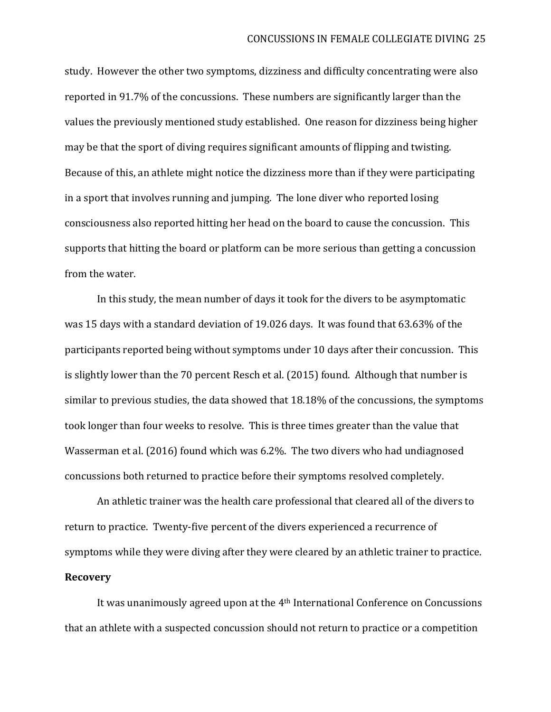study. However the other two symptoms, dizziness and difficulty concentrating were also reported in 91.7% of the concussions. These numbers are significantly larger than the values the previously mentioned study established. One reason for dizziness being higher may be that the sport of diving requires significant amounts of flipping and twisting. Because of this, an athlete might notice the dizziness more than if they were participating in a sport that involves running and jumping. The lone diver who reported losing consciousness also reported hitting her head on the board to cause the concussion. This supports that hitting the board or platform can be more serious than getting a concussion from the water.

In this study, the mean number of days it took for the divers to be asymptomatic was 15 days with a standard deviation of 19.026 days. It was found that 63.63% of the participants reported being without symptoms under 10 days after their concussion. This is slightly lower than the 70 percent Resch et al. (2015) found. Although that number is similar to previous studies, the data showed that 18.18% of the concussions, the symptoms took longer than four weeks to resolve. This is three times greater than the value that Wasserman et al. (2016) found which was 6.2%. The two divers who had undiagnosed concussions both returned to practice before their symptoms resolved completely.

An athletic trainer was the health care professional that cleared all of the divers to return to practice. Twenty-five percent of the divers experienced a recurrence of symptoms while they were diving after they were cleared by an athletic trainer to practice. **Recovery**

It was unanimously agreed upon at the 4th International Conference on Concussions that an athlete with a suspected concussion should not return to practice or a competition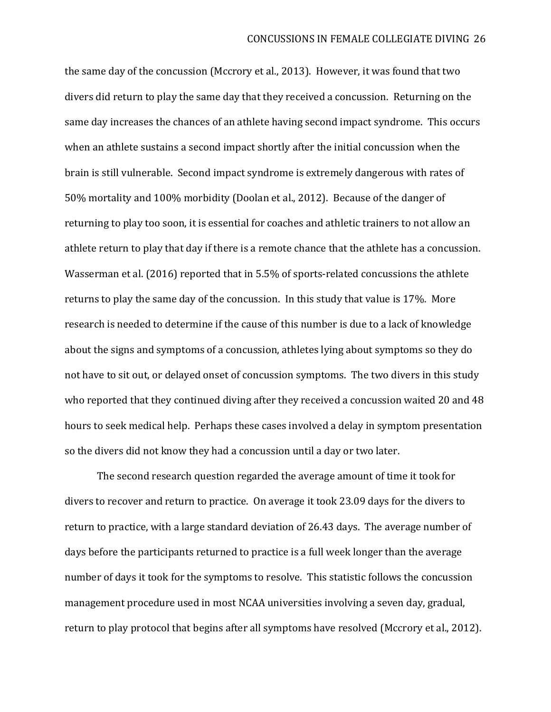the same day of the concussion (Mccrory et al., 2013). However, it was found that two divers did return to play the same day that they received a concussion. Returning on the same day increases the chances of an athlete having second impact syndrome. This occurs when an athlete sustains a second impact shortly after the initial concussion when the brain is still vulnerable. Second impact syndrome is extremely dangerous with rates of 50% mortality and 100% morbidity (Doolan et al., 2012). Because of the danger of returning to play too soon, it is essential for coaches and athletic trainers to not allow an athlete return to play that day if there is a remote chance that the athlete has a concussion. Wasserman et al. (2016) reported that in 5.5% of sports-related concussions the athlete returns to play the same day of the concussion. In this study that value is 17%. More research is needed to determine if the cause of this number is due to a lack of knowledge about the signs and symptoms of a concussion, athletes lying about symptoms so they do not have to sit out, or delayed onset of concussion symptoms. The two divers in this study who reported that they continued diving after they received a concussion waited 20 and 48 hours to seek medical help. Perhaps these cases involved a delay in symptom presentation so the divers did not know they had a concussion until a day or two later.

The second research question regarded the average amount of time it took for divers to recover and return to practice. On average it took 23.09 days for the divers to return to practice, with a large standard deviation of 26.43 days. The average number of days before the participants returned to practice is a full week longer than the average number of days it took for the symptoms to resolve. This statistic follows the concussion management procedure used in most NCAA universities involving a seven day, gradual, return to play protocol that begins after all symptoms have resolved (Mccrory et al., 2012).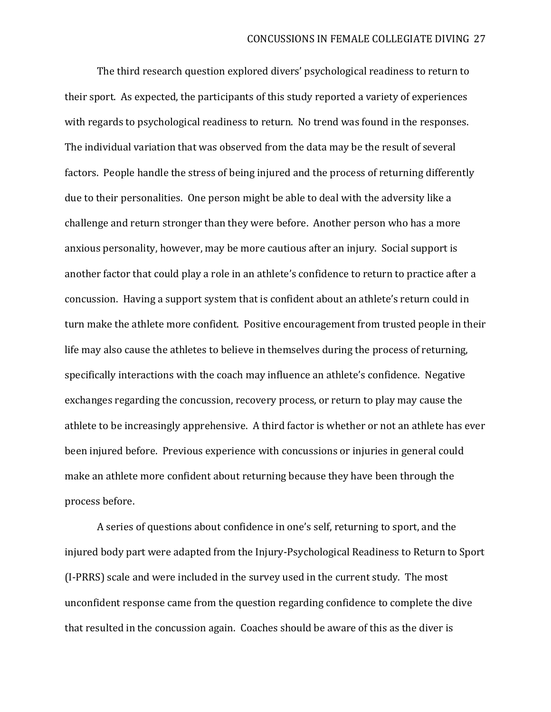The third research question explored divers' psychological readiness to return to their sport. As expected, the participants of this study reported a variety of experiences with regards to psychological readiness to return. No trend was found in the responses. The individual variation that was observed from the data may be the result of several factors. People handle the stress of being injured and the process of returning differently due to their personalities. One person might be able to deal with the adversity like a challenge and return stronger than they were before. Another person who has a more anxious personality, however, may be more cautious after an injury. Social support is another factor that could play a role in an athlete's confidence to return to practice after a concussion. Having a support system that is confident about an athlete's return could in turn make the athlete more confident. Positive encouragement from trusted people in their life may also cause the athletes to believe in themselves during the process of returning, specifically interactions with the coach may influence an athlete's confidence. Negative exchanges regarding the concussion, recovery process, or return to play may cause the athlete to be increasingly apprehensive. A third factor is whether or not an athlete has ever been injured before. Previous experience with concussions or injuries in general could make an athlete more confident about returning because they have been through the process before.

A series of questions about confidence in one's self, returning to sport, and the injured body part were adapted from the Injury-Psychological Readiness to Return to Sport (I-PRRS) scale and were included in the survey used in the current study. The most unconfident response came from the question regarding confidence to complete the dive that resulted in the concussion again. Coaches should be aware of this as the diver is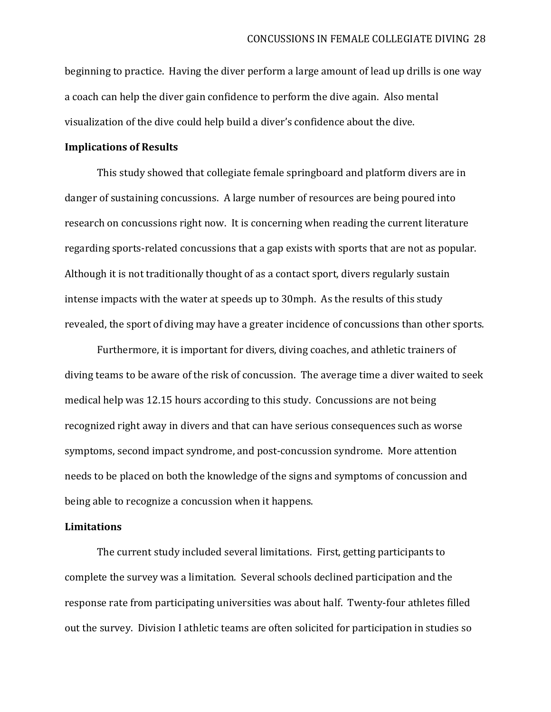beginning to practice. Having the diver perform a large amount of lead up drills is one way a coach can help the diver gain confidence to perform the dive again. Also mental visualization of the dive could help build a diver's confidence about the dive.

#### **Implications of Results**

This study showed that collegiate female springboard and platform divers are in danger of sustaining concussions. A large number of resources are being poured into research on concussions right now. It is concerning when reading the current literature regarding sports-related concussions that a gap exists with sports that are not as popular. Although it is not traditionally thought of as a contact sport, divers regularly sustain intense impacts with the water at speeds up to 30mph. As the results of this study revealed, the sport of diving may have a greater incidence of concussions than other sports.

Furthermore, it is important for divers, diving coaches, and athletic trainers of diving teams to be aware of the risk of concussion. The average time a diver waited to seek medical help was 12.15 hours according to this study. Concussions are not being recognized right away in divers and that can have serious consequences such as worse symptoms, second impact syndrome, and post-concussion syndrome. More attention needs to be placed on both the knowledge of the signs and symptoms of concussion and being able to recognize a concussion when it happens.

#### **Limitations**

The current study included several limitations. First, getting participants to complete the survey was a limitation. Several schools declined participation and the response rate from participating universities was about half. Twenty-four athletes filled out the survey. Division I athletic teams are often solicited for participation in studies so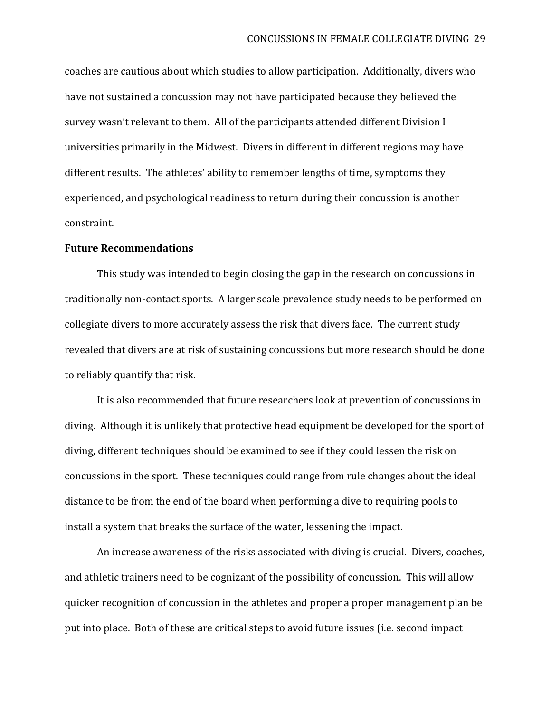coaches are cautious about which studies to allow participation. Additionally, divers who have not sustained a concussion may not have participated because they believed the survey wasn't relevant to them. All of the participants attended different Division I universities primarily in the Midwest. Divers in different in different regions may have different results. The athletes' ability to remember lengths of time, symptoms they experienced, and psychological readiness to return during their concussion is another constraint.

#### **Future Recommendations**

This study was intended to begin closing the gap in the research on concussions in traditionally non-contact sports. A larger scale prevalence study needs to be performed on collegiate divers to more accurately assess the risk that divers face. The current study revealed that divers are at risk of sustaining concussions but more research should be done to reliably quantify that risk.

It is also recommended that future researchers look at prevention of concussions in diving. Although it is unlikely that protective head equipment be developed for the sport of diving, different techniques should be examined to see if they could lessen the risk on concussions in the sport. These techniques could range from rule changes about the ideal distance to be from the end of the board when performing a dive to requiring pools to install a system that breaks the surface of the water, lessening the impact.

An increase awareness of the risks associated with diving is crucial. Divers, coaches, and athletic trainers need to be cognizant of the possibility of concussion. This will allow quicker recognition of concussion in the athletes and proper a proper management plan be put into place. Both of these are critical steps to avoid future issues (i.e. second impact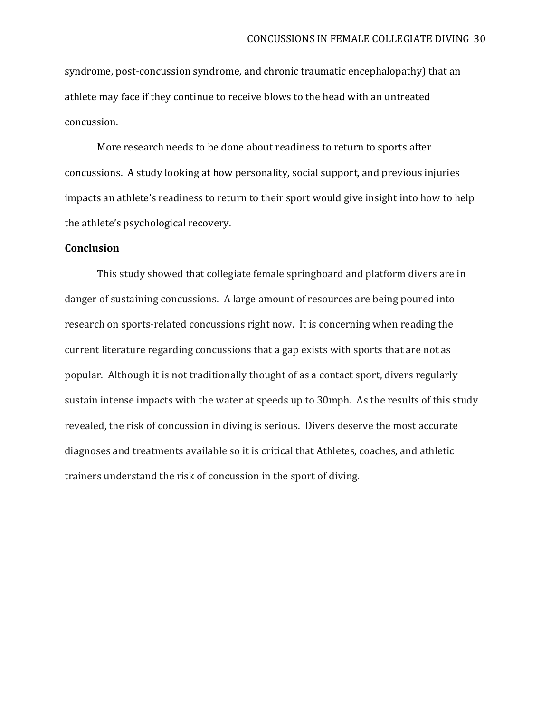syndrome, post-concussion syndrome, and chronic traumatic encephalopathy) that an athlete may face if they continue to receive blows to the head with an untreated concussion.

More research needs to be done about readiness to return to sports after concussions. A study looking at how personality, social support, and previous injuries impacts an athlete's readiness to return to their sport would give insight into how to help the athlete's psychological recovery.

## **Conclusion**

This study showed that collegiate female springboard and platform divers are in danger of sustaining concussions. A large amount of resources are being poured into research on sports-related concussions right now. It is concerning when reading the current literature regarding concussions that a gap exists with sports that are not as popular. Although it is not traditionally thought of as a contact sport, divers regularly sustain intense impacts with the water at speeds up to 30mph. As the results of this study revealed, the risk of concussion in diving is serious. Divers deserve the most accurate diagnoses and treatments available so it is critical that Athletes, coaches, and athletic trainers understand the risk of concussion in the sport of diving.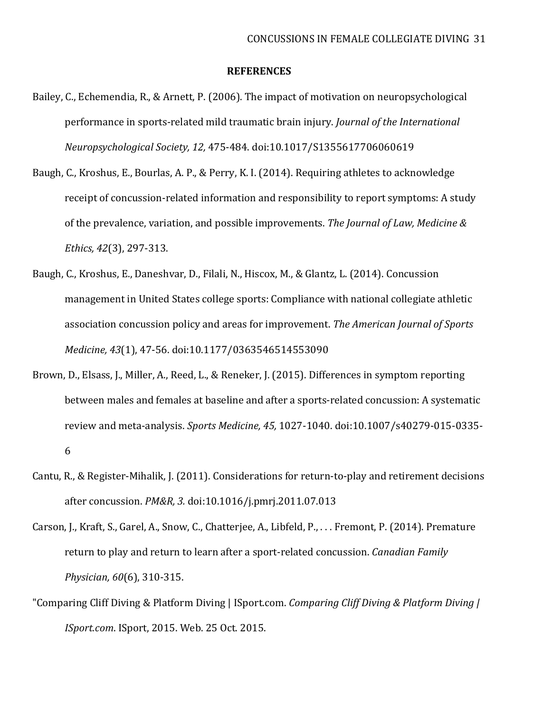#### **REFERENCES**

- Bailey, C., Echemendia, R., & Arnett, P. (2006). The impact of motivation on neuropsychological performance in sports-related mild traumatic brain injury. *Journal of the International Neuropsychological Society, 12,* 475-484. doi:10.1017/S1355617706060619
- Baugh, C., Kroshus, E., Bourlas, A. P., & Perry, K. I. (2014). Requiring athletes to acknowledge receipt of concussion-related information and responsibility to report symptoms: A study of the prevalence, variation, and possible improvements. *The Journal of Law, Medicine & Ethics, 42*(3), 297-313.
- Baugh, C., Kroshus, E., Daneshvar, D., Filali, N., Hiscox, M., & Glantz, L. (2014). Concussion management in United States college sports: Compliance with national collegiate athletic association concussion policy and areas for improvement. *The American Journal of Sports Medicine, 43*(1), 47-56. doi:10.1177/0363546514553090
- Brown, D., Elsass, J., Miller, A., Reed, L., & Reneker, J. (2015). Differences in symptom reporting between males and females at baseline and after a sports-related concussion: A systematic review and meta-analysis. *Sports Medicine, 45,* 1027-1040. doi:10.1007/s40279-015-0335- 6
- Cantu, R., & Register-Mihalik, J. (2011). Considerations for return-to-play and retirement decisions after concussion. *PM&R, 3.* doi:10.1016/j.pmrj.2011.07.013
- Carson, J., Kraft, S., Garel, A., Snow, C., Chatterjee, A., Libfeld, P., . . . Fremont, P. (2014). Premature return to play and return to learn after a sport-related concussion. *Canadian Family Physician, 60*(6), 310-315.
- "Comparing Cliff Diving & Platform Diving | ISport.com. *Comparing Cliff Diving & Platform Diving | ISport.com*. ISport, 2015. Web. 25 Oct. 2015.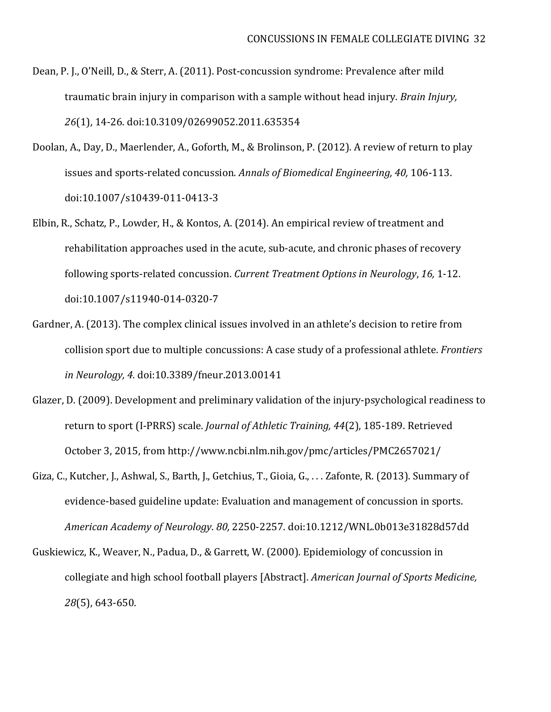- Dean, P. J., O'Neill, D., & Sterr, A. (2011). Post-concussion syndrome: Prevalence after mild traumatic brain injury in comparison with a sample without head injury. *Brain Injury, 26*(1), 14-26. doi:10.3109/02699052.2011.635354
- Doolan, A., Day, D., Maerlender, A., Goforth, M., & Brolinson, P. (2012). A review of return to play issues and sports-related concussion. *Annals of Biomedical Engineering, 40,* 106-113. doi:10.1007/s10439-011-0413-3
- Elbin, R., Schatz, P., Lowder, H., & Kontos, A. (2014). An empirical review of treatment and rehabilitation approaches used in the acute, sub-acute, and chronic phases of recovery following sports-related concussion. *Current Treatment Options in Neurology*, *16,* 1-12. doi:10.1007/s11940-014-0320-7
- Gardner, A. (2013). The complex clinical issues involved in an athlete's decision to retire from collision sport due to multiple concussions: A case study of a professional athlete. *Frontiers in Neurology, 4.* doi:10.3389/fneur.2013.00141
- Glazer, D. (2009). Development and preliminary validation of the injury-psychological readiness to return to sport (I-PRRS) scale. *Journal of Athletic Training, 44*(2), 185-189. Retrieved October 3, 2015, from<http://www.ncbi.nlm.nih.gov/pmc/articles/PMC2657021/>
- Giza, C., Kutcher, J., Ashwal, S., Barth, J., Getchius, T., Gioia, G., . . . Zafonte, R. (2013). Summary of evidence-based guideline update: Evaluation and management of concussion in sports. *American Academy of Neurology*. *80,* 2250-2257. doi:10.1212/WNL.0b013e31828d57dd
- Guskiewicz, K., Weaver, N., Padua, D., & Garrett, W. (2000). Epidemiology of concussion in collegiate and high school football players [Abstract]. *American Journal of Sports Medicine, 28*(5), 643-650.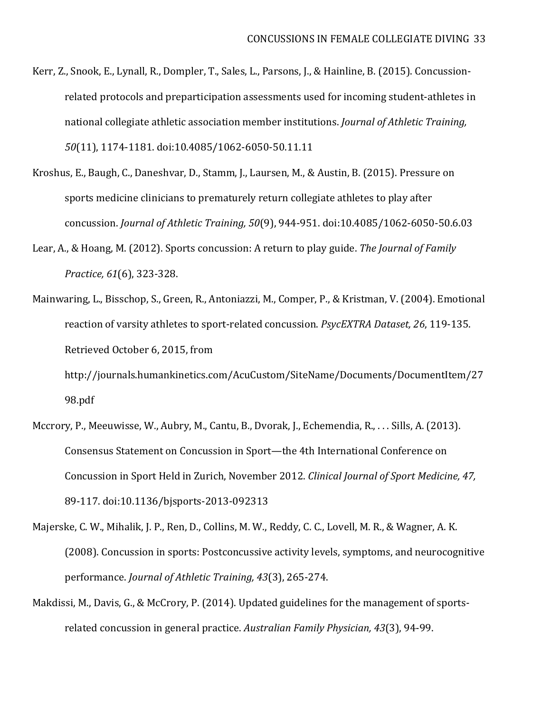- Kerr, Z., Snook, E., Lynall, R., Dompler, T., Sales, L., Parsons, J., & Hainline, B. (2015). Concussionrelated protocols and preparticipation assessments used for incoming student-athletes in national collegiate athletic association member institutions. *Journal of Athletic Training, 50*(11), 1174-1181. doi:10.4085/1062-6050-50.11.11
- Kroshus, E., Baugh, C., Daneshvar, D., Stamm, J., Laursen, M., & Austin, B. (2015). Pressure on sports medicine clinicians to prematurely return collegiate athletes to play after concussion. *Journal of Athletic Training, 50*(9), 944-951. doi:10.4085/1062-6050-50.6.03
- Lear, A., & Hoang, M. (2012). Sports concussion: A return to play guide. *The Journal of Family Practice, 61*(6), 323-328.
- Mainwaring, L., Bisschop, S., Green, R., Antoniazzi, M., Comper, P., & Kristman, V. (2004). Emotional reaction of varsity athletes to sport-related concussion. *PsycEXTRA Dataset, 26*, 119-135. Retrieved October 6, 2015, from http://journals.humankinetics.com/AcuCustom/SiteName/Documents/DocumentItem/27

98.pdf

- Mccrory, P., Meeuwisse, W., Aubry, M., Cantu, B., Dvorak, J., Echemendia, R., . . . Sills, A. (2013). Consensus Statement on Concussion in Sport—the 4th International Conference on Concussion in Sport Held in Zurich, November 2012. *Clinical Journal of Sport Medicine, 47,* 89-117. doi:10.1136/bjsports-2013-092313
- Majerske, C. W., Mihalik, J. P., Ren, D., Collins, M. W., Reddy, C. C., Lovell, M. R., & Wagner, A. K. (2008). Concussion in sports: Postconcussive activity levels, symptoms, and neurocognitive performance. *Journal of Athletic Training, 43*(3), 265-274.
- Makdissi, M., Davis, G., & McCrory, P. (2014). Updated guidelines for the management of sportsrelated concussion in general practice. *Australian Family Physician, 43*(3), 94-99.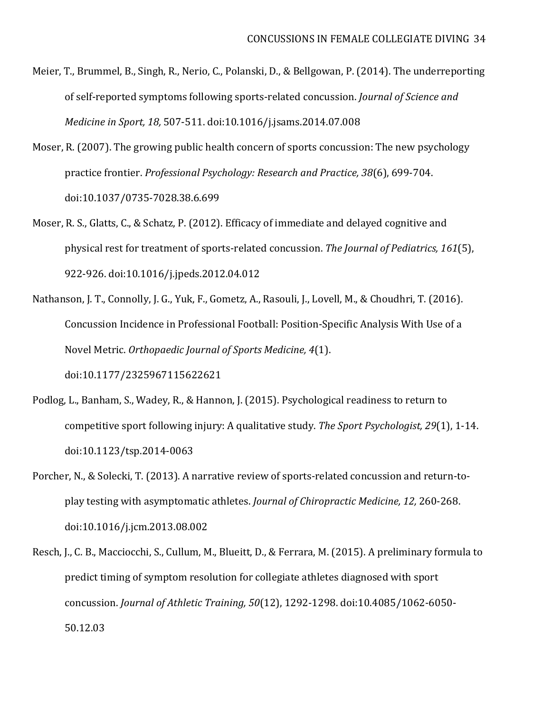- Meier, T., Brummel, B., Singh, R., Nerio, C., Polanski, D., & Bellgowan, P. (2014). The underreporting of self-reported symptoms following sports-related concussion. *Journal of Science and Medicine in Sport, 18,* 507-511. doi:10.1016/j.jsams.2014.07.008
- Moser, R. (2007). The growing public health concern of sports concussion: The new psychology practice frontier. *Professional Psychology: Research and Practice, 38*(6), 699-704. doi:10.1037/0735-7028.38.6.699
- Moser, R. S., Glatts, C., & Schatz, P. (2012). Efficacy of immediate and delayed cognitive and physical rest for treatment of sports-related concussion. *The Journal of Pediatrics, 161*(5), 922-926. doi:10.1016/j.jpeds.2012.04.012
- Nathanson, J. T., Connolly, J. G., Yuk, F., Gometz, A., Rasouli, J., Lovell, M., & Choudhri, T. (2016). Concussion Incidence in Professional Football: Position-Specific Analysis With Use of a Novel Metric. *Orthopaedic Journal of Sports Medicine, 4*(1). doi:10.1177/2325967115622621
- Podlog, L., Banham, S., Wadey, R., & Hannon, J. (2015). Psychological readiness to return to competitive sport following injury: A qualitative study. *The Sport Psychologist, 29*(1), 1-14. doi:10.1123/tsp.2014-0063
- Porcher, N., & Solecki, T. (2013). A narrative review of sports-related concussion and return-toplay testing with asymptomatic athletes. *Journal of Chiropractic Medicine, 12,* 260-268. doi:10.1016/j.jcm.2013.08.002
- Resch, J., C. B., Macciocchi, S., Cullum, M., Blueitt, D., & Ferrara, M. (2015). A preliminary formula to predict timing of symptom resolution for collegiate athletes diagnosed with sport concussion. *Journal of Athletic Training, 50*(12), 1292-1298. doi:10.4085/1062-6050- 50.12.03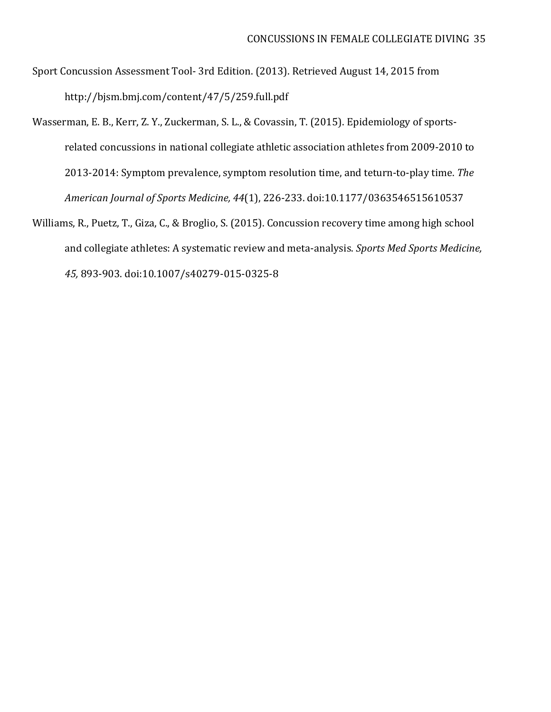- Sport Concussion Assessment Tool- 3rd Edition. (2013). Retrieved August 14, 2015 from http://bjsm.bmj.com/content/47/5/259.full.pdf
- Wasserman, E. B., Kerr, Z. Y., Zuckerman, S. L., & Covassin, T. (2015). Epidemiology of sportsrelated concussions in national collegiate athletic association athletes from 2009-2010 to 2013-2014: Symptom prevalence, symptom resolution time, and teturn-to-play time. *The American Journal of Sports Medicine, 44*(1), 226-233. doi:10.1177/0363546515610537
- Williams, R., Puetz, T., Giza, C., & Broglio, S. (2015). Concussion recovery time among high school and collegiate athletes: A systematic review and meta-analysis. *Sports Med Sports Medicine, 45,* 893-903. doi:10.1007/s40279-015-0325-8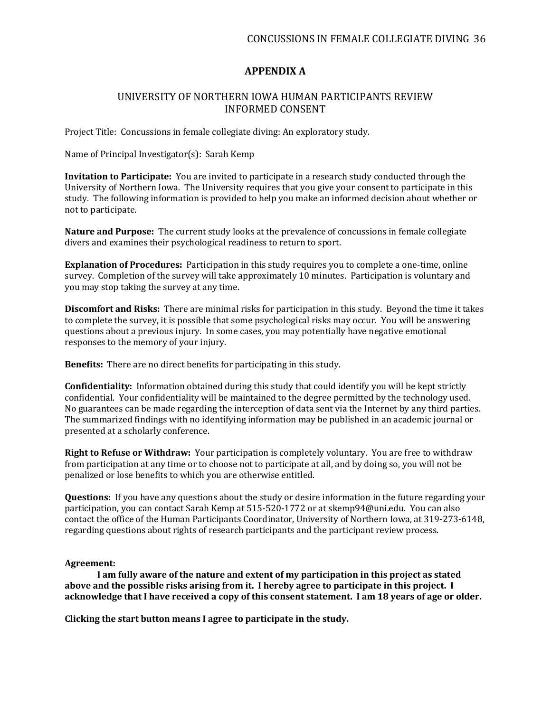## **APPENDIX A**

### UNIVERSITY OF NORTHERN IOWA HUMAN PARTICIPANTS REVIEW INFORMED CONSENT

Project Title: Concussions in female collegiate diving: An exploratory study.

Name of Principal Investigator(s): Sarah Kemp

**Invitation to Participate:** You are invited to participate in a research study conducted through the University of Northern Iowa. The University requires that you give your consent to participate in this study. The following information is provided to help you make an informed decision about whether or not to participate.

**Nature and Purpose:** The current study looks at the prevalence of concussions in female collegiate divers and examines their psychological readiness to return to sport.

**Explanation of Procedures:** Participation in this study requires you to complete a one-time, online survey. Completion of the survey will take approximately 10 minutes. Participation is voluntary and you may stop taking the survey at any time.

**Discomfort and Risks:** There are minimal risks for participation in this study. Beyond the time it takes to complete the survey, it is possible that some psychological risks may occur. You will be answering questions about a previous injury. In some cases, you may potentially have negative emotional responses to the memory of your injury.

**Benefits:** There are no direct benefits for participating in this study.

**Confidentiality:** Information obtained during this study that could identify you will be kept strictly confidential. Your confidentiality will be maintained to the degree permitted by the technology used. No guarantees can be made regarding the interception of data sent via the Internet by any third parties. The summarized findings with no identifying information may be published in an academic journal or presented at a scholarly conference.

**Right to Refuse or Withdraw:** Your participation is completely voluntary. You are free to withdraw from participation at any time or to choose not to participate at all, and by doing so, you will not be penalized or lose benefits to which you are otherwise entitled.

**Questions:** If you have any questions about the study or desire information in the future regarding your participation, you can contact Sarah Kemp at 515-520-1772 or at skemp94@uni.edu. You can also contact the office of the Human Participants Coordinator, University of Northern Iowa, at 319-273-6148, regarding questions about rights of research participants and the participant review process.

#### **Agreement:**

**I am fully aware of the nature and extent of my participation in this project as stated above and the possible risks arising from it. I hereby agree to participate in this project. I acknowledge that I have received a copy of this consent statement. I am 18 years of age or older.**

**Clicking the start button means I agree to participate in the study.**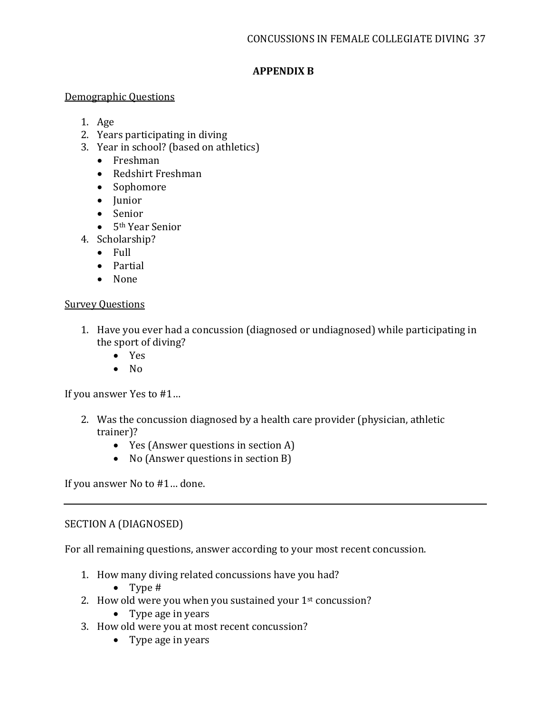# **APPENDIX B**

## Demographic Questions

- 1. Age
- 2. Years participating in diving
- 3. Year in school? (based on athletics)
	- Freshman
	- Redshirt Freshman
	- Sophomore
	- Junior
	- Senior
	- 5<sup>th</sup> Year Senior
- 4. Scholarship?
	- Full
	- Partial
	- None

# Survey Questions

- 1. Have you ever had a concussion (diagnosed or undiagnosed) while participating in the sport of diving?
	- Yes
	- $\bullet$  No

If you answer Yes to #1…

- 2. Was the concussion diagnosed by a health care provider (physician, athletic trainer)?
	- Yes (Answer questions in section A)
	- No (Answer questions in section B)

If you answer No to #1… done.

# SECTION A (DIAGNOSED)

For all remaining questions, answer according to your most recent concussion.

- 1. How many diving related concussions have you had?
	- Type #
- 2. How old were you when you sustained your 1<sup>st</sup> concussion?
	- Type age in years
- 3. How old were you at most recent concussion?
	- Type age in years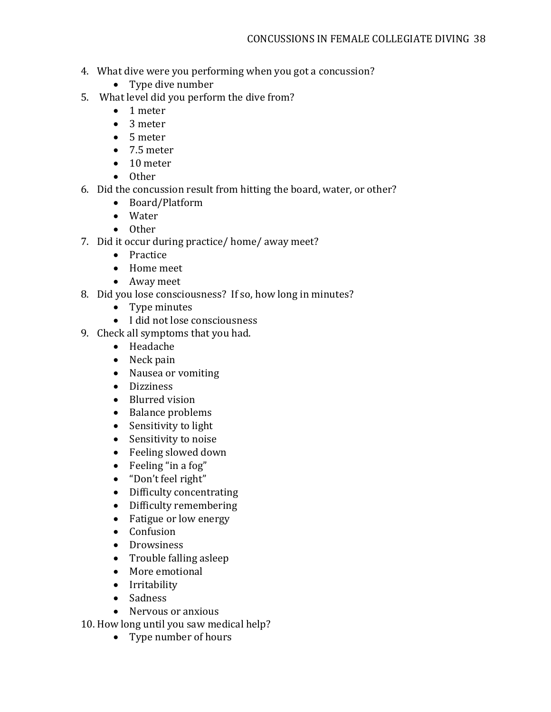- 4. What dive were you performing when you got a concussion?
	- Type dive number
- 5. What level did you perform the dive from?
	- 1 meter
	- 3 meter
	- 5 meter
	- 7.5 meter
	- 10 meter
	- Other
- 6. Did the concussion result from hitting the board, water, or other?
	- Board/Platform
	- Water
	- Other
- 7. Did it occur during practice/ home/ away meet?
	- Practice
	- Home meet
	- Away meet
- 8. Did you lose consciousness? If so, how long in minutes?
	- Type minutes
	- I did not lose consciousness
- 9. Check all symptoms that you had.
	- Headache
	- Neck pain
	- Nausea or vomiting
	- Dizziness
	- Blurred vision
	- Balance problems
	- Sensitivity to light
	- Sensitivity to noise
	- Feeling slowed down
	- Feeling "in a fog"
	- "Don't feel right"
	- Difficulty concentrating
	- Difficulty remembering
	- Fatigue or low energy
	- Confusion
	- Drowsiness
	- Trouble falling asleep
	- More emotional
	- Irritability
	- Sadness
	- Nervous or anxious

10. How long until you saw medical help?

• Type number of hours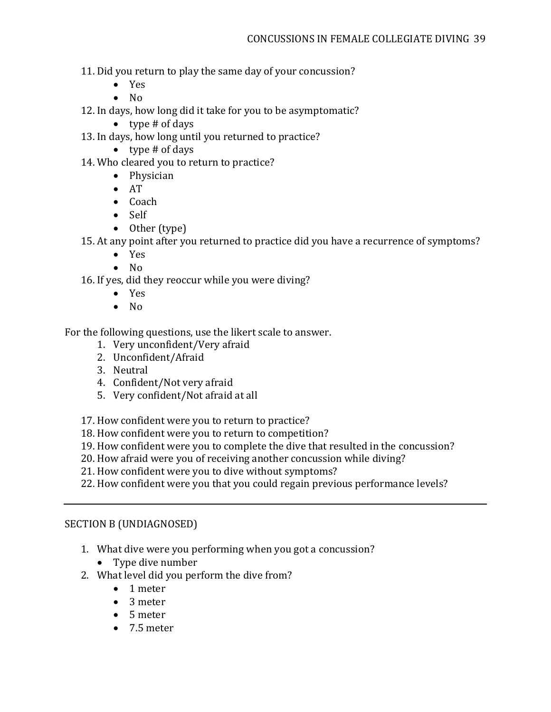11. Did you return to play the same day of your concussion?

- Yes
- No

12. In days, how long did it take for you to be asymptomatic?

- $\bullet$  type # of days
- 13. In days, how long until you returned to practice?
	- $\bullet$  type # of days

14. Who cleared you to return to practice?

- Physician
- AT
- Coach
- Self
- Other (type)

15. At any point after you returned to practice did you have a recurrence of symptoms?

- Yes
- No

16. If yes, did they reoccur while you were diving?

- Yes
- No

For the following questions, use the likert scale to answer.

- 1. Very unconfident/Very afraid
- 2. Unconfident/Afraid
- 3. Neutral
- 4. Confident/Not very afraid
- 5. Very confident/Not afraid at all
- 17. How confident were you to return to practice?
- 18. How confident were you to return to competition?
- 19. How confident were you to complete the dive that resulted in the concussion?
- 20. How afraid were you of receiving another concussion while diving?
- 21. How confident were you to dive without symptoms?
- 22. How confident were you that you could regain previous performance levels?

# SECTION B (UNDIAGNOSED)

- 1. What dive were you performing when you got a concussion?
	- Type dive number
- 2. What level did you perform the dive from?
	- 1 meter
	- 3 meter
	- 5 meter
	- 7.5 meter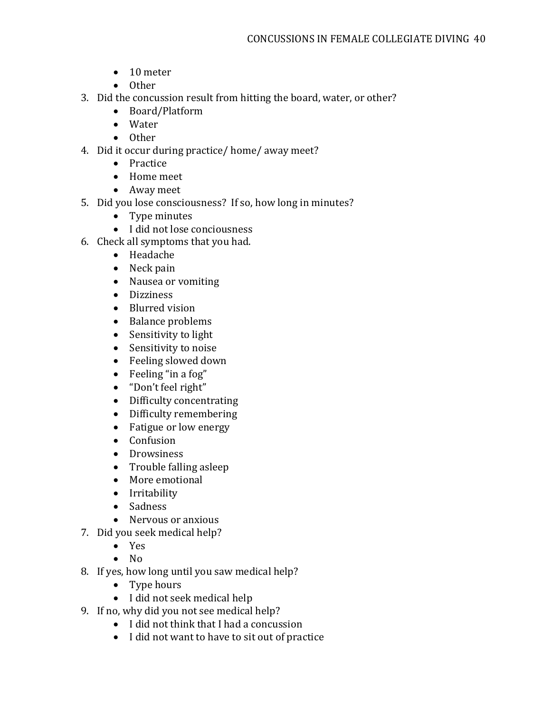- 10 meter
- Other
- 3. Did the concussion result from hitting the board, water, or other?
	- Board/Platform
	- Water
	- Other
- 4. Did it occur during practice/ home/ away meet?<br>• Practice
	- **Practice**
	- Home meet
	- Away meet
- 5. Did you lose consciousness? If so, how long in minutes?
	- Type minutes
	- I did not lose conciousness
- 6. Check all symptoms that you had.
	- Headache
	- Neck pain
	- Nausea or vomiting
	- Dizziness
	- Blurred vision
	- Balance problems
	- Sensitivity to light
	- Sensitivity to noise
	- Feeling slowed down
	- Feeling "in a fog"
	- "Don't feel right"
	- Difficulty concentrating
	- Difficulty remembering
	- Fatigue or low energy
	- Confusion
	- Drowsiness
	- Trouble falling asleep
	- More emotional
	- Irritability
	- Sadness
	- Nervous or anxious
- 7. Did you seek medical help?
	- Yes
	- No
- 8. If yes, how long until you saw medical help?
	- Type hours
	- I did not seek medical help
- 9. If no, why did you not see medical help?
	- I did not think that I had a concussion
	- I did not want to have to sit out of practice